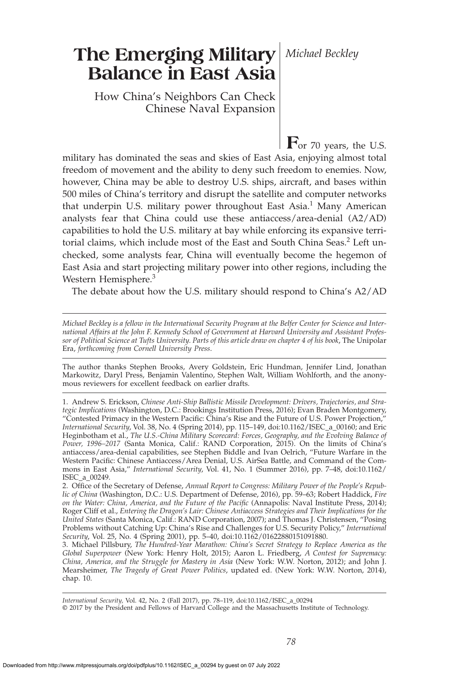# **The Emerging Military** *Michael Beckley* **Balance in East Asia**

How China's Neighbors Can Check Chinese Naval Expansion

**F**or 70 years, the U.S. military has dominated the seas and skies of East Asia, enjoying almost total freedom of movement and the ability to deny such freedom to enemies. Now, however, China may be able to destroy U.S. ships, aircraft, and bases within 500 miles of China's territory and disrupt the satellite and computer networks that underpin U.S. military power throughout East Asia.<sup>1</sup> Many American analysts fear that China could use these antiaccess/area-denial (A2/AD) capabilities to hold the U.S. military at bay while enforcing its expansive territorial claims, which include most of the East and South China Seas.<sup>2</sup> Left unchecked, some analysts fear, China will eventually become the hegemon of East Asia and start projecting military power into other regions, including the Western Hemisphere.<sup>3</sup>

The debate about how the U.S. military should respond to China's A2/AD

*Michael Beckley is a fellow in the International Security Program at the Belfer Center for Science and International Affairs at the John F. Kennedy School of Government at Harvard University and Assistant Professor of Political Science at Tufts University. Parts of this article draw on chapter 4 of his book*, The Unipolar Era, *forthcoming from Cornell University Press*.

The author thanks Stephen Brooks, Avery Goldstein, Eric Hundman, Jennifer Lind, Jonathan Markowitz, Daryl Press, Benjamin Valentino, Stephen Walt, William Wohlforth, and the anonymous reviewers for excellent feedback on earlier drafts.

1. Andrew S. Erickson, *Chinese Anti-Ship Ballistic Missile Development: Drivers, Trajectories, and Strategic Implications* (Washington, D.C.: Brookings Institution Press, 2016); Evan Braden Montgomery, "Contested Primacy in the Western Pacific: China's Rise and the Future of U.S. Power Projection," *International Security*, Vol. 38, No. 4 (Spring 2014), pp. 115–149, doi:10.1162/ISEC\_a\_00160; and Eric Heginbotham et al., *The U.S.-China Military Scorecard: Forces, Geography, and the Evolving Balance of Power, 1996–2017* (Santa Monica, Calif.: RAND Corporation, 2015). On the limits of China's antiaccess/area-denial capabilities, see Stephen Biddle and Ivan Oelrich, "Future Warfare in the Western Pacific: Chinese Antiaccess/Area Denial, U.S. AirSea Battle, and Command of the Commons in East Asia," *International Security*, Vol. 41, No. 1 (Summer 2016), pp. 7–48, doi:10.1162/ ISEC\_a\_00249.

2. Office of the Secretary of Defense, *Annual Report to Congress: Military Power of the People's Republic of China* (Washington, D.C.: U.S. Department of Defense, 2016), pp. 59–63; Robert Haddick, *Fire* on the Water: China, America, and the Future of the Pacific (Annapolis: Naval Institute Press, 2014); Roger Cliff et al., *Entering the Dragon's Lair: Chinese Antiaccess Strategies and Their Implications for the United States* (Santa Monica, Calif.: RAND Corporation, 2007); and Thomas J. Christensen, "Posing Problems without Catching Up: China's Rise and Challenges for U.S. Security Policy," *International Security*, Vol. 25, No. 4 (Spring 2001), pp. 5–40, doi:10.1162/01622880151091880.

3. Michael Pillsbury, *The Hundred-Year Marathon: China's Secret Strategy to Replace America as the Global Superpower* (New York: Henry Holt, 2015); Aaron L. Friedberg, *A Contest for Supremacy: China, America, and the Struggle for Mastery in Asia* (New York: W.W. Norton, 2012); and John J. Mearsheimer, *The Tragedy of Great Power Politics*, updated ed. (New York: W.W. Norton, 2014), chap. 10.

*International Security,* Vol. 42, No. 2 (Fall 2017), pp. 78–119, doi:10.1162/ISEC\_a\_00294

© 2017 by the President and Fellows of Harvard College and the Massachusetts Institute of Technology.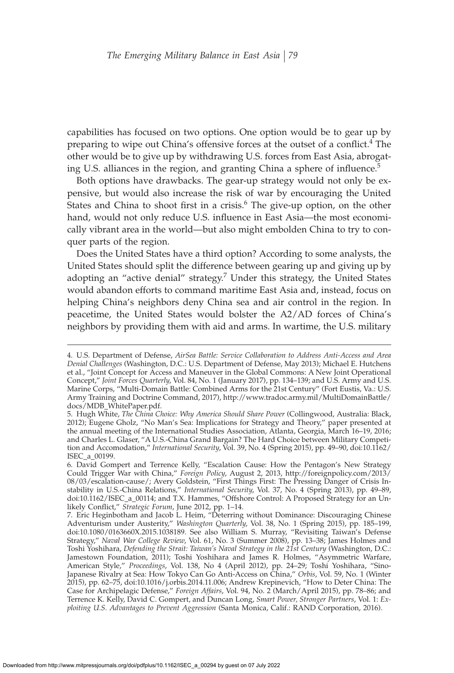capabilities has focused on two options. One option would be to gear up by preparing to wipe out China's offensive forces at the outset of a conflict.<sup>4</sup> The other would be to give up by withdrawing U.S. forces from East Asia, abrogating U.S. alliances in the region, and granting China a sphere of influence.<sup>5</sup>

Both options have drawbacks. The gear-up strategy would not only be expensive, but would also increase the risk of war by encouraging the United States and China to shoot first in a crisis. $6$  The give-up option, on the other hand, would not only reduce U.S. influence in East Asia—the most economically vibrant area in the world—but also might embolden China to try to conquer parts of the region.

Does the United States have a third option? According to some analysts, the United States should split the difference between gearing up and giving up by adopting an "active denial" strategy.<sup>7</sup> Under this strategy, the United States would abandon efforts to command maritime East Asia and, instead, focus on helping China's neighbors deny China sea and air control in the region. In peacetime, the United States would bolster the A2/AD forces of China's neighbors by providing them with aid and arms. In wartime, the U.S. military

<sup>4.</sup> U.S. Department of Defense, *AirSea Battle: Service Collaboration to Address Anti-Access and Area Denial Challenges* (Washington, D.C.: U.S. Department of Defense, May 2013); Michael E. Hutchens et al., "Joint Concept for Access and Maneuver in the Global Commons: A New Joint Operational Concept," *Joint Forces Quarterly*, Vol. 84, No. 1 (January 2017), pp. 134–139; and U.S. Army and U.S. Marine Corps, "Multi-Domain Battle: Combined Arms for the 21st Century" (Fort Eustis, Va.: U.S. Army Training and Doctrine Command, 2017), http://www.tradoc.army.mil/MultiDomainBattle/ docs/MDB\_WhitePaper.pdf.

<sup>5.</sup> Hugh White, *The China Choice: Why America Should Share Power* (Collingwood, Australia: Black, 2012); Eugene Gholz, "No Man's Sea: Implications for Strategy and Theory," paper presented at the annual meeting of the International Studies Association, Atlanta, Georgia, March 16–19, 2016; and Charles L. Glaser, "A U.S.-China Grand Bargain? The Hard Choice between Military Competition and Accomodation," *International Security*, Vol. 39, No. 4 (Spring 2015), pp. 49–90, doi:10.1162/ ISEC\_a\_00199.

<sup>6.</sup> David Gompert and Terrence Kelly, "Escalation Cause: How the Pentagon's New Strategy Could Trigger War with China," *Foreign Policy*, August 2, 2013, http://foreignpolicy.com/2013/ 08/03/escalation-cause/; Avery Goldstein, "First Things First: The Pressing Danger of Crisis Instability in U.S.-China Relations," *International Security*, Vol. 37, No. 4 (Spring 2013), pp. 49–89, doi:10.1162/ISEC\_a\_00114; and T.X. Hammes, "Offshore Control: A Proposed Strategy for an Unlikely Conflict," *Strategic Forum*, June 2012, pp. 1–14.

<sup>7.</sup> Eric Heginbotham and Jacob L. Heim, "Deterring without Dominance: Discouraging Chinese Adventurism under Austerity," *Washington Quarterly*, Vol. 38, No. 1 (Spring 2015), pp. 185–199, doi:10.1080/0163660X.2015.1038189. See also William S. Murray, "Revisiting Taiwan's Defense Strategy," *Naval War College Review*, Vol. 61, No. 3 (Summer 2008), pp. 13–38; James Holmes and Toshi Yoshihara, *Defending the Strait: Taiwan's Naval Strategy in the 21st Century* (Washington, D.C.: Jamestown Foundation, 2011); Toshi Yoshihara and James R. Holmes, "Asymmetric Warfare, American Style," *Proceedings*, Vol. 138, No 4 (April 2012), pp. 24–29; Toshi Yoshihara, "Sino-Japanese Rivalry at Sea: How Tokyo Can Go Anti-Access on China," *Orbis*, Vol. 59, No. 1 (Winter 2015), pp. 62–75, doi:10.1016/j.orbis.2014.11.006; Andrew Krepinevich, "How to Deter China: The Case for Archipelagic Defense," *Foreign Affairs*, Vol. 94, No. 2 (March/April 2015), pp. 78–86; and Terrence K. Kelly, David C. Gompert, and Duncan Long, *Smart Power, Stronger Partners*, Vol. 1: *Exploiting U.S. Advantages to Prevent Aggression* (Santa Monica, Calif.: RAND Corporation, 2016).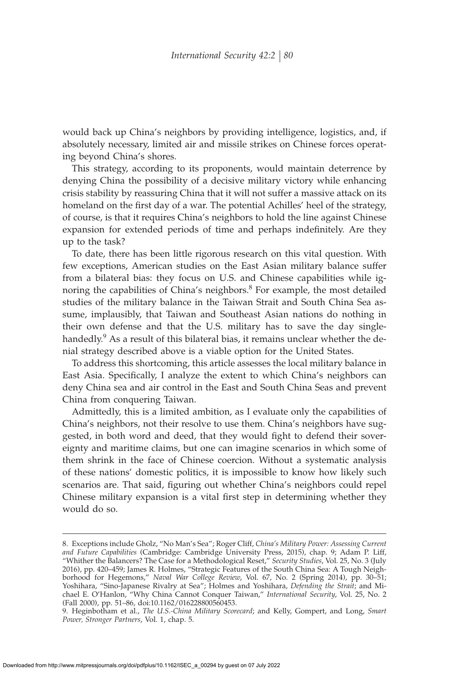would back up China's neighbors by providing intelligence, logistics, and, if absolutely necessary, limited air and missile strikes on Chinese forces operating beyond China's shores.

This strategy, according to its proponents, would maintain deterrence by denying China the possibility of a decisive military victory while enhancing crisis stability by reassuring China that it will not suffer a massive attack on its homeland on the first day of a war. The potential Achilles' heel of the strategy, of course, is that it requires China's neighbors to hold the line against Chinese expansion for extended periods of time and perhaps indefinitely. Are they up to the task?

To date, there has been little rigorous research on this vital question. With few exceptions, American studies on the East Asian military balance suffer from a bilateral bias: they focus on U.S. and Chinese capabilities while ignoring the capabilities of China's neighbors. $8$  For example, the most detailed studies of the military balance in the Taiwan Strait and South China Sea assume, implausibly, that Taiwan and Southeast Asian nations do nothing in their own defense and that the U.S. military has to save the day singlehandedly.<sup>9</sup> As a result of this bilateral bias, it remains unclear whether the denial strategy described above is a viable option for the United States.

To address this shortcoming, this article assesses the local military balance in East Asia. Specifically, I analyze the extent to which China's neighbors can deny China sea and air control in the East and South China Seas and prevent China from conquering Taiwan.

Admittedly, this is a limited ambition, as I evaluate only the capabilities of China's neighbors, not their resolve to use them. China's neighbors have suggested, in both word and deed, that they would fight to defend their sovereignty and maritime claims, but one can imagine scenarios in which some of them shrink in the face of Chinese coercion. Without a systematic analysis of these nations' domestic politics, it is impossible to know how likely such scenarios are. That said, figuring out whether China's neighbors could repel Chinese military expansion is a vital first step in determining whether they would do so.

<sup>8.</sup> Exceptions include Gholz, "No Man's Sea"; Roger Cliff, *China's Military Power: Assessing Current and Future Capabilities* (Cambridge: Cambridge University Press, 2015), chap. 9; Adam P. Liff, "Whither the Balancers? The Case for a Methodological Reset," *Security Studies*, Vol. 25, No. 3 (July 2016), pp. 420–459; James R. Holmes, "Strategic Features of the South China Sea: A Tough Neighborhood for Hegemons," *Naval War College Review*, Vol. 67, No. 2 (Spring 2014), pp. 30–51; Yoshihara, "Sino-Japanese Rivalry at Sea"; Holmes and Yoshihara, *Defending the Strait*; and Michael E. O'Hanlon, "Why China Cannot Conquer Taiwan," *International Security*, Vol. 25, No. 2 (Fall 2000), pp. 51–86, doi:10.1162/016228800560453.

<sup>9.</sup> Heginbotham et al., *The U.S.-China Military Scorecard*; and Kelly, Gompert, and Long, *Smart Power, Stronger Partners*, Vol. 1, chap. 5.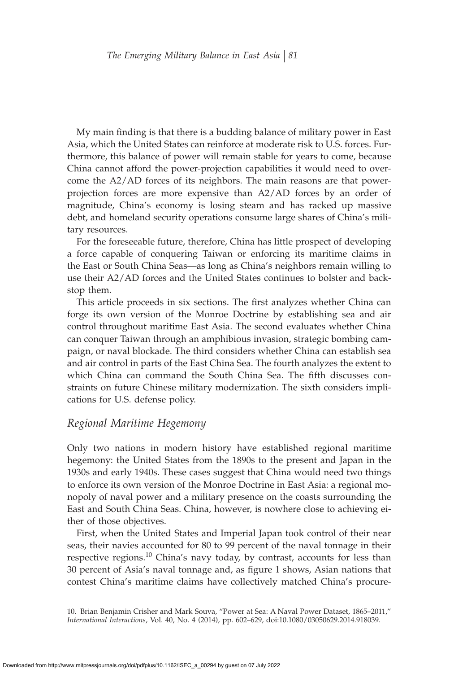My main finding is that there is a budding balance of military power in East Asia, which the United States can reinforce at moderate risk to U.S. forces. Furthermore, this balance of power will remain stable for years to come, because China cannot afford the power-projection capabilities it would need to overcome the A2/AD forces of its neighbors. The main reasons are that powerprojection forces are more expensive than A2/AD forces by an order of magnitude, China's economy is losing steam and has racked up massive debt, and homeland security operations consume large shares of China's military resources.

For the foreseeable future, therefore, China has little prospect of developing a force capable of conquering Taiwan or enforcing its maritime claims in the East or South China Seas—as long as China's neighbors remain willing to use their A2/AD forces and the United States continues to bolster and backstop them.

This article proceeds in six sections. The first analyzes whether China can forge its own version of the Monroe Doctrine by establishing sea and air control throughout maritime East Asia. The second evaluates whether China can conquer Taiwan through an amphibious invasion, strategic bombing campaign, or naval blockade. The third considers whether China can establish sea and air control in parts of the East China Sea. The fourth analyzes the extent to which China can command the South China Sea. The fifth discusses constraints on future Chinese military modernization. The sixth considers implications for U.S. defense policy.

# *Regional Maritime Hegemony*

Only two nations in modern history have established regional maritime hegemony: the United States from the 1890s to the present and Japan in the 1930s and early 1940s. These cases suggest that China would need two things to enforce its own version of the Monroe Doctrine in East Asia: a regional monopoly of naval power and a military presence on the coasts surrounding the East and South China Seas. China, however, is nowhere close to achieving either of those objectives.

First, when the United States and Imperial Japan took control of their near seas, their navies accounted for 80 to 99 percent of the naval tonnage in their respective regions.<sup>10</sup> China's navy today, by contrast, accounts for less than 30 percent of Asia's naval tonnage and, as figure 1 shows, Asian nations that contest China's maritime claims have collectively matched China's procure-

<sup>10.</sup> Brian Benjamin Crisher and Mark Souva, "Power at Sea: A Naval Power Dataset, 1865–2011," *International Interactions*, Vol. 40, No. 4 (2014), pp. 602–629, doi:10.1080/03050629.2014.918039.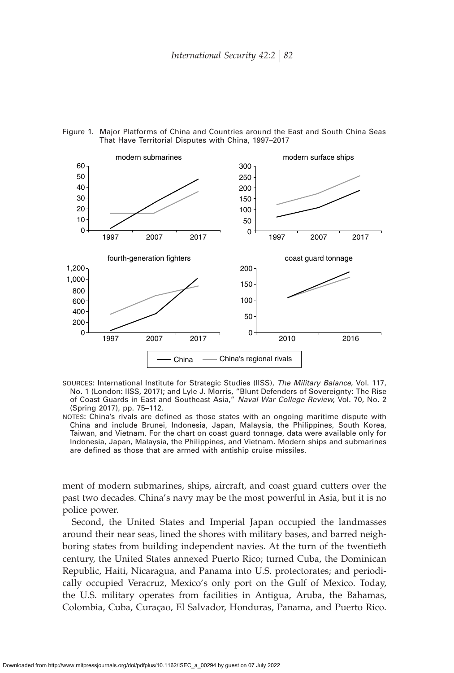

Figure 1. Major Platforms of China and Countries around the East and South China Seas That Have Territorial Disputes with China, 1997–2017

- SOURCES: International Institute for Strategic Studies (IISS), *The Military Balance*, Vol. 117, No. 1 (London: IISS, 2017); and Lyle J. Morris, "Blunt Defenders of Sovereignty: The Rise of Coast Guards in East and Southeast Asia," *Naval War College Review*, Vol. 70, No. 2 (Spring 2017), pp. 75–112.
- NOTES: China's rivals are defined as those states with an ongoing maritime dispute with China and include Brunei, Indonesia, Japan, Malaysia, the Philippines, South Korea, Taiwan, and Vietnam. For the chart on coast guard tonnage, data were available only for Indonesia, Japan, Malaysia, the Philippines, and Vietnam. Modern ships and submarines are defined as those that are armed with antiship cruise missiles.

ment of modern submarines, ships, aircraft, and coast guard cutters over the past two decades. China's navy may be the most powerful in Asia, but it is no police power.

Second, the United States and Imperial Japan occupied the landmasses around their near seas, lined the shores with military bases, and barred neighboring states from building independent navies. At the turn of the twentieth century, the United States annexed Puerto Rico; turned Cuba, the Dominican Republic, Haiti, Nicaragua, and Panama into U.S. protectorates; and periodically occupied Veracruz, Mexico's only port on the Gulf of Mexico. Today, the U.S. military operates from facilities in Antigua, Aruba, the Bahamas, Colombia, Cuba, Curaçao, El Salvador, Honduras, Panama, and Puerto Rico.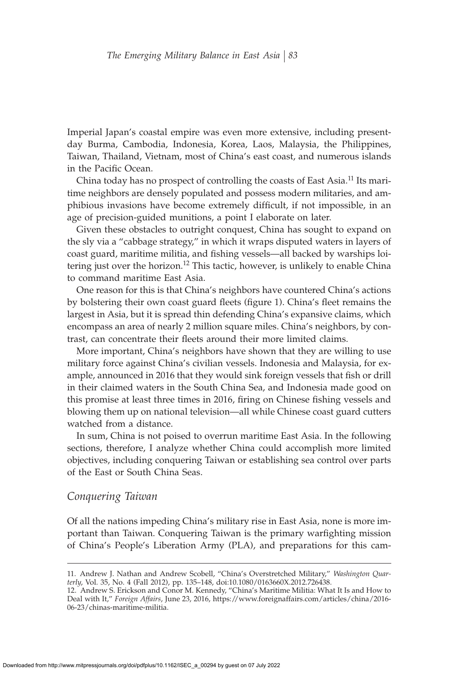Imperial Japan's coastal empire was even more extensive, including presentday Burma, Cambodia, Indonesia, Korea, Laos, Malaysia, the Philippines, Taiwan, Thailand, Vietnam, most of China's east coast, and numerous islands in the Pacific Ocean.

China today has no prospect of controlling the coasts of East Asia.<sup>11</sup> Its maritime neighbors are densely populated and possess modern militaries, and amphibious invasions have become extremely difficult, if not impossible, in an age of precision-guided munitions, a point I elaborate on later.

Given these obstacles to outright conquest, China has sought to expand on the sly via a "cabbage strategy," in which it wraps disputed waters in layers of coast guard, maritime militia, and fishing vessels—all backed by warships loitering just over the horizon.<sup>12</sup> This tactic, however, is unlikely to enable China to command maritime East Asia.

One reason for this is that China's neighbors have countered China's actions by bolstering their own coast guard fleets (figure 1). China's fleet remains the largest in Asia, but it is spread thin defending China's expansive claims, which encompass an area of nearly 2 million square miles. China's neighbors, by contrast, can concentrate their fleets around their more limited claims.

More important, China's neighbors have shown that they are willing to use military force against China's civilian vessels. Indonesia and Malaysia, for example, announced in 2016 that they would sink foreign vessels that fish or drill in their claimed waters in the South China Sea, and Indonesia made good on this promise at least three times in 2016, firing on Chinese fishing vessels and blowing them up on national television—all while Chinese coast guard cutters watched from a distance.

In sum, China is not poised to overrun maritime East Asia. In the following sections, therefore, I analyze whether China could accomplish more limited objectives, including conquering Taiwan or establishing sea control over parts of the East or South China Seas.

# *Conquering Taiwan*

Of all the nations impeding China's military rise in East Asia, none is more important than Taiwan. Conquering Taiwan is the primary warfighting mission of China's People's Liberation Army (PLA), and preparations for this cam-

<sup>11.</sup> Andrew J. Nathan and Andrew Scobell, "China's Overstretched Military," *Washington Quarterly*, Vol. 35, No. 4 (Fall 2012), pp. 135–148, doi:10.1080/0163660X.2012.726438.

<sup>12.</sup> Andrew S. Erickson and Conor M. Kennedy, "China's Maritime Militia: What It Is and How to Deal with It," *Foreign Affairs*, June 23, 2016, https://www.foreignaffairs.com/articles/china/2016- 06-23/chinas-maritime-militia.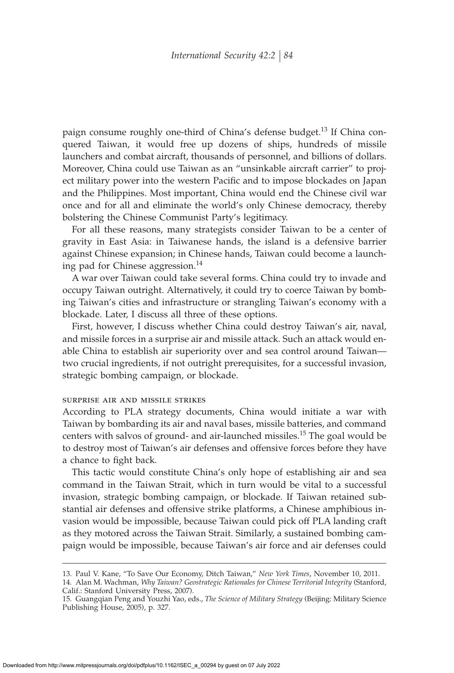paign consume roughly one-third of China's defense budget.<sup>13</sup> If China conquered Taiwan, it would free up dozens of ships, hundreds of missile launchers and combat aircraft, thousands of personnel, and billions of dollars. Moreover, China could use Taiwan as an "unsinkable aircraft carrier" to project military power into the western Pacific and to impose blockades on Japan and the Philippines. Most important, China would end the Chinese civil war once and for all and eliminate the world's only Chinese democracy, thereby bolstering the Chinese Communist Party's legitimacy.

For all these reasons, many strategists consider Taiwan to be a center of gravity in East Asia: in Taiwanese hands, the island is a defensive barrier against Chinese expansion; in Chinese hands, Taiwan could become a launching pad for Chinese aggression.<sup>14</sup>

A war over Taiwan could take several forms. China could try to invade and occupy Taiwan outright. Alternatively, it could try to coerce Taiwan by bombing Taiwan's cities and infrastructure or strangling Taiwan's economy with a blockade. Later, I discuss all three of these options.

First, however, I discuss whether China could destroy Taiwan's air, naval, and missile forces in a surprise air and missile attack. Such an attack would enable China to establish air superiority over and sea control around Taiwan two crucial ingredients, if not outright prerequisites, for a successful invasion, strategic bombing campaign, or blockade.

## surprise air and missile strikes

According to PLA strategy documents, China would initiate a war with Taiwan by bombarding its air and naval bases, missile batteries, and command centers with salvos of ground- and air-launched missiles.<sup>15</sup> The goal would be to destroy most of Taiwan's air defenses and offensive forces before they have a chance to fight back.

This tactic would constitute China's only hope of establishing air and sea command in the Taiwan Strait, which in turn would be vital to a successful invasion, strategic bombing campaign, or blockade. If Taiwan retained substantial air defenses and offensive strike platforms, a Chinese amphibious invasion would be impossible, because Taiwan could pick off PLA landing craft as they motored across the Taiwan Strait. Similarly, a sustained bombing campaign would be impossible, because Taiwan's air force and air defenses could

<sup>13.</sup> Paul V. Kane, "To Save Our Economy, Ditch Taiwan," *New York Times*, November 10, 2011. 14. Alan M. Wachman, *Why Taiwan? Geostrategic Rationales for Chinese Territorial Integrity* (Stanford, Calif.: Stanford University Press, 2007).

<sup>15.</sup> Guangqian Peng and Youzhi Yao, eds., *The Science of Military Strategy* (Beijing: Military Science Publishing House, 2005), p. 327.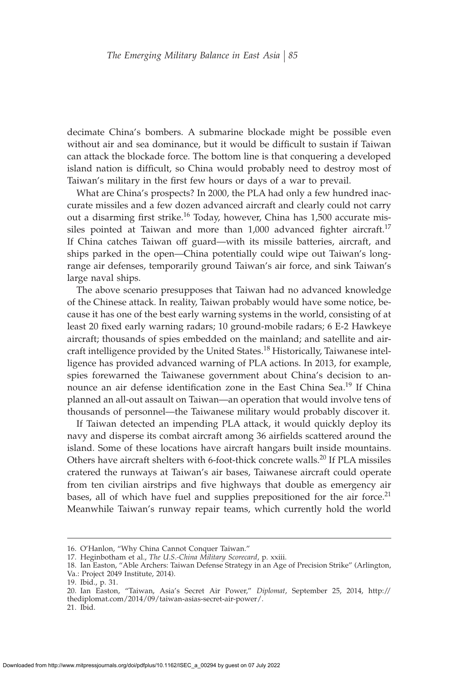decimate China's bombers. A submarine blockade might be possible even without air and sea dominance, but it would be difficult to sustain if Taiwan can attack the blockade force. The bottom line is that conquering a developed island nation is difficult, so China would probably need to destroy most of Taiwan's military in the first few hours or days of a war to prevail.

What are China's prospects? In 2000, the PLA had only a few hundred inaccurate missiles and a few dozen advanced aircraft and clearly could not carry out a disarming first strike.<sup>16</sup> Today, however, China has 1,500 accurate missiles pointed at Taiwan and more than  $1,000$  advanced fighter aircraft.<sup>17</sup> If China catches Taiwan off guard—with its missile batteries, aircraft, and ships parked in the open—China potentially could wipe out Taiwan's longrange air defenses, temporarily ground Taiwan's air force, and sink Taiwan's large naval ships.

The above scenario presupposes that Taiwan had no advanced knowledge of the Chinese attack. In reality, Taiwan probably would have some notice, because it has one of the best early warning systems in the world, consisting of at least 20 fixed early warning radars; 10 ground-mobile radars; 6 E-2 Hawkeye aircraft; thousands of spies embedded on the mainland; and satellite and aircraft intelligence provided by the United States.<sup>18</sup> Historically, Taiwanese intelligence has provided advanced warning of PLA actions. In 2013, for example, spies forewarned the Taiwanese government about China's decision to announce an air defense identification zone in the East China Sea.<sup>19</sup> If China planned an all-out assault on Taiwan—an operation that would involve tens of thousands of personnel—the Taiwanese military would probably discover it.

If Taiwan detected an impending PLA attack, it would quickly deploy its navy and disperse its combat aircraft among 36 airfields scattered around the island. Some of these locations have aircraft hangars built inside mountains. Others have aircraft shelters with 6-foot-thick concrete walls.<sup>20</sup> If PLA missiles cratered the runways at Taiwan's air bases, Taiwanese aircraft could operate from ten civilian airstrips and five highways that double as emergency air bases, all of which have fuel and supplies prepositioned for the air force.<sup>21</sup> Meanwhile Taiwan's runway repair teams, which currently hold the world

<sup>16.</sup> O'Hanlon, "Why China Cannot Conquer Taiwan."

<sup>17.</sup> Heginbotham et al., *The U.S.-China Military Scorecard*, p. xxiii.

<sup>18.</sup> Ian Easton, "Able Archers: Taiwan Defense Strategy in an Age of Precision Strike" (Arlington, Va.: Project 2049 Institute, 2014).

<sup>19.</sup> Ibid., p. 31.

<sup>20.</sup> Ian Easton, "Taiwan, Asia's Secret Air Power," *Diplomat*, September 25, 2014, http:// thediplomat.com/2014/09/taiwan-asias-secret-air-power/. 21. Ibid.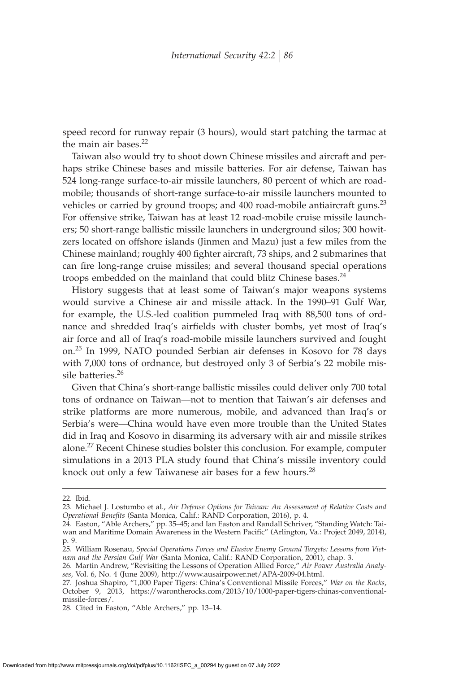speed record for runway repair (3 hours), would start patching the tarmac at the main air bases.<sup>22</sup>

Taiwan also would try to shoot down Chinese missiles and aircraft and perhaps strike Chinese bases and missile batteries. For air defense, Taiwan has 524 long-range surface-to-air missile launchers, 80 percent of which are roadmobile; thousands of short-range surface-to-air missile launchers mounted to vehicles or carried by ground troops; and 400 road-mobile antiaircraft guns.<sup>23</sup> For offensive strike, Taiwan has at least 12 road-mobile cruise missile launchers; 50 short-range ballistic missile launchers in underground silos; 300 howitzers located on offshore islands (Jinmen and Mazu) just a few miles from the Chinese mainland; roughly 400 fighter aircraft, 73 ships, and 2 submarines that can fire long-range cruise missiles; and several thousand special operations troops embedded on the mainland that could blitz Chinese bases.<sup>24</sup>

History suggests that at least some of Taiwan's major weapons systems would survive a Chinese air and missile attack. In the 1990–91 Gulf War, for example, the U.S.-led coalition pummeled Iraq with 88,500 tons of ordnance and shredded Iraq's airfields with cluster bombs, yet most of Iraq's air force and all of Iraq's road-mobile missile launchers survived and fought on.<sup>25</sup> In 1999, NATO pounded Serbian air defenses in Kosovo for 78 days with 7,000 tons of ordnance, but destroyed only 3 of Serbia's 22 mobile missile batteries.<sup>26</sup>

Given that China's short-range ballistic missiles could deliver only 700 total tons of ordnance on Taiwan—not to mention that Taiwan's air defenses and strike platforms are more numerous, mobile, and advanced than Iraq's or Serbia's were—China would have even more trouble than the United States did in Iraq and Kosovo in disarming its adversary with air and missile strikes alone.<sup>27</sup> Recent Chinese studies bolster this conclusion. For example, computer simulations in a 2013 PLA study found that China's missile inventory could knock out only a few Taiwanese air bases for a few hours.<sup>28</sup>

<sup>22.</sup> Ibid.

<sup>23.</sup> Michael J. Lostumbo et al., *Air Defense Options for Taiwan: An Assessment of Relative Costs and Operational Benefits* (Santa Monica, Calif.: RAND Corporation, 2016), p. 4.

<sup>24.</sup> Easton, "Able Archers," pp. 35–45; and Ian Easton and Randall Schriver, "Standing Watch: Taiwan and Maritime Domain Awareness in the Western Pacific'' (Arlington, Va.: Project 2049, 2014), p. 9.

<sup>25.</sup> William Rosenau, *Special Operations Forces and Elusive Enemy Ground Targets: Lessons from Vietnam and the Persian Gulf War* (Santa Monica, Calif.: RAND Corporation, 2001), chap. 3.

<sup>26.</sup> Martin Andrew, "Revisiting the Lessons of Operation Allied Force," *Air Power Australia Analyses*, Vol. 6, No. 4 (June 2009), http://www.ausairpower.net/APA-2009-04.html.

<sup>27.</sup> Joshua Shapiro, "1,000 Paper Tigers: China's Conventional Missile Forces," *War on the Rocks*, October 9, 2013, https://warontherocks.com/2013/10/1000-paper-tigers-chinas-conventionalmissile-forces/.

<sup>28.</sup> Cited in Easton, "Able Archers," pp. 13–14.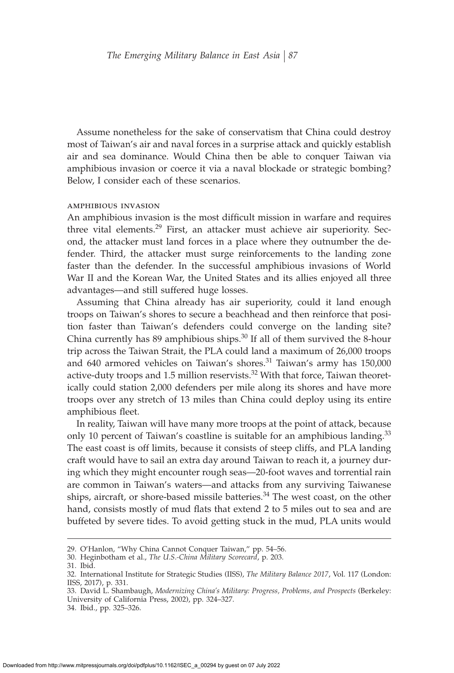Assume nonetheless for the sake of conservatism that China could destroy most of Taiwan's air and naval forces in a surprise attack and quickly establish air and sea dominance. Would China then be able to conquer Taiwan via amphibious invasion or coerce it via a naval blockade or strategic bombing? Below, I consider each of these scenarios.

## amphibious invasion

An amphibious invasion is the most difficult mission in warfare and requires three vital elements.<sup>29</sup> First, an attacker must achieve air superiority. Second, the attacker must land forces in a place where they outnumber the defender. Third, the attacker must surge reinforcements to the landing zone faster than the defender. In the successful amphibious invasions of World War II and the Korean War, the United States and its allies enjoyed all three advantages—and still suffered huge losses.

Assuming that China already has air superiority, could it land enough troops on Taiwan's shores to secure a beachhead and then reinforce that position faster than Taiwan's defenders could converge on the landing site? China currently has 89 amphibious ships. $30$  If all of them survived the 8-hour trip across the Taiwan Strait, the PLA could land a maximum of 26,000 troops and 640 armored vehicles on Taiwan's shores.<sup>31</sup> Taiwan's army has 150,000 active-duty troops and 1.5 million reservists. $32$  With that force, Taiwan theoretically could station 2,000 defenders per mile along its shores and have more troops over any stretch of 13 miles than China could deploy using its entire amphibious fleet.

In reality, Taiwan will have many more troops at the point of attack, because only 10 percent of Taiwan's coastline is suitable for an amphibious landing.<sup>33</sup> The east coast is off limits, because it consists of steep cliffs, and PLA landing craft would have to sail an extra day around Taiwan to reach it, a journey during which they might encounter rough seas—20-foot waves and torrential rain are common in Taiwan's waters—and attacks from any surviving Taiwanese ships, aircraft, or shore-based missile batteries. $34$  The west coast, on the other hand, consists mostly of mud flats that extend 2 to 5 miles out to sea and are buffeted by severe tides. To avoid getting stuck in the mud, PLA units would

- 33. David L. Shambaugh, *Modernizing China's Military: Progress, Problems, and Prospects* (Berkeley: University of California Press, 2002), pp. 324–327.
- 34. Ibid., pp. 325–326.

<sup>29.</sup> O'Hanlon, "Why China Cannot Conquer Taiwan," pp. 54–56.

<sup>30.</sup> Heginbotham et al., *The U.S.-China Military Scorecard*, p. 203.

<sup>31.</sup> Ibid.

<sup>32.</sup> International Institute for Strategic Studies (IISS), *The Military Balance 2017*, Vol. 117 (London: IISS, 2017), p. 331.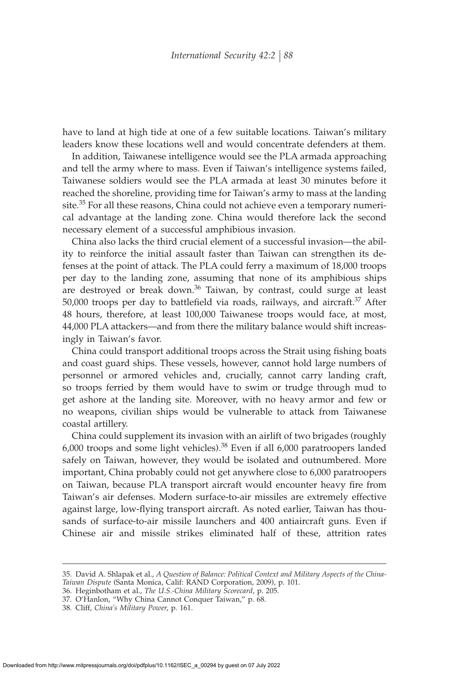have to land at high tide at one of a few suitable locations. Taiwan's military leaders know these locations well and would concentrate defenders at them.

In addition, Taiwanese intelligence would see the PLA armada approaching and tell the army where to mass. Even if Taiwan's intelligence systems failed, Taiwanese soldiers would see the PLA armada at least 30 minutes before it reached the shoreline, providing time for Taiwan's army to mass at the landing site.<sup>35</sup> For all these reasons, China could not achieve even a temporary numerical advantage at the landing zone. China would therefore lack the second necessary element of a successful amphibious invasion.

China also lacks the third crucial element of a successful invasion—the ability to reinforce the initial assault faster than Taiwan can strengthen its defenses at the point of attack. The PLA could ferry a maximum of 18,000 troops per day to the landing zone, assuming that none of its amphibious ships are destroyed or break down. $36$  Taiwan, by contrast, could surge at least 50,000 troops per day to battlefield via roads, railways, and aircraft. $37$  After 48 hours, therefore, at least 100,000 Taiwanese troops would face, at most, 44,000 PLA attackers—and from there the military balance would shift increasingly in Taiwan's favor.

China could transport additional troops across the Strait using fishing boats and coast guard ships. These vessels, however, cannot hold large numbers of personnel or armored vehicles and, crucially, cannot carry landing craft, so troops ferried by them would have to swim or trudge through mud to get ashore at the landing site. Moreover, with no heavy armor and few or no weapons, civilian ships would be vulnerable to attack from Taiwanese coastal artillery.

China could supplement its invasion with an airlift of two brigades (roughly  $6,000$  troops and some light vehicles).<sup>38</sup> Even if all  $6,000$  paratroopers landed safely on Taiwan, however, they would be isolated and outnumbered. More important, China probably could not get anywhere close to 6,000 paratroopers on Taiwan, because PLA transport aircraft would encounter heavy fire from Taiwan's air defenses. Modern surface-to-air missiles are extremely effective against large, low-flying transport aircraft. As noted earlier, Taiwan has thousands of surface-to-air missile launchers and 400 antiaircraft guns. Even if Chinese air and missile strikes eliminated half of these, attrition rates

- 37. O'Hanlon, "Why China Cannot Conquer Taiwan," p. 68.
- 38. Cliff, *China's Military Power*, p. 161.

<sup>35.</sup> David A. Shlapak et al., *A Question of Balance: Political Context and Military Aspects of the China-Taiwan Dispute* (Santa Monica, Calif: RAND Corporation, 2009), p. 101.

<sup>36.</sup> Heginbotham et al., *The U.S.-China Military Scorecard*, p. 205.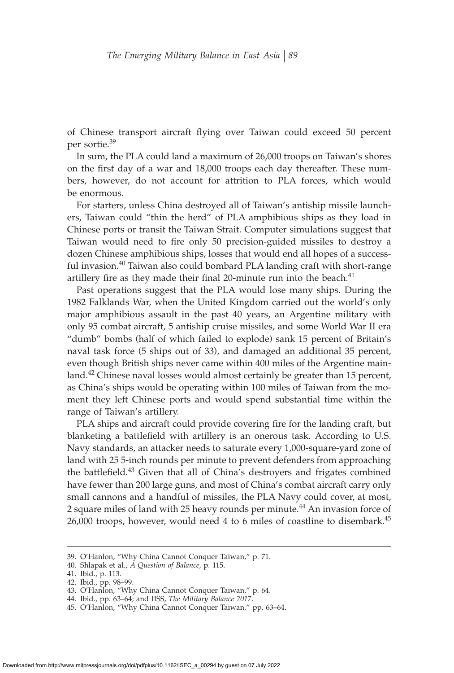of Chinese transport aircraft flying over Taiwan could exceed 50 percent per sortie.<sup>39</sup>

In sum, the PLA could land a maximum of 26,000 troops on Taiwan's shores on the first day of a war and 18,000 troops each day thereafter. These numbers, however, do not account for attrition to PLA forces, which would be enormous.

For starters, unless China destroyed all of Taiwan's antiship missile launchers, Taiwan could "thin the herd" of PLA amphibious ships as they load in Chinese ports or transit the Taiwan Strait. Computer simulations suggest that Taiwan would need to fire only 50 precision-guided missiles to destroy a dozen Chinese amphibious ships, losses that would end all hopes of a successful invasion.<sup>40</sup> Taiwan also could bombard PLA landing craft with short-range artillery fire as they made their final 20-minute run into the beach. $41$ 

Past operations suggest that the PLA would lose many ships. During the 1982 Falklands War, when the United Kingdom carried out the world's only major amphibious assault in the past 40 years, an Argentine military with only 95 combat aircraft, 5 antiship cruise missiles, and some World War II era "dumb" bombs (half of which failed to explode) sank 15 percent of Britain's naval task force (5 ships out of 33), and damaged an additional 35 percent, even though British ships never came within 400 miles of the Argentine mainland.<sup>42</sup> Chinese naval losses would almost certainly be greater than 15 percent, as China's ships would be operating within 100 miles of Taiwan from the moment they left Chinese ports and would spend substantial time within the range of Taiwan's artillery.

PLA ships and aircraft could provide covering fire for the landing craft, but blanketing a battlefield with artillery is an onerous task. According to U.S. Navy standards, an attacker needs to saturate every 1,000-square-yard zone of land with 25 5-inch rounds per minute to prevent defenders from approaching the battlefield. $43$  Given that all of China's destroyers and frigates combined have fewer than 200 large guns, and most of China's combat aircraft carry only small cannons and a handful of missiles, the PLA Navy could cover, at most, 2 square miles of land with 25 heavy rounds per minute.<sup>44</sup> An invasion force of 26,000 troops, however, would need 4 to 6 miles of coastline to disembark.<sup>45</sup>

<sup>39.</sup> O'Hanlon, "Why China Cannot Conquer Taiwan," p. 71.

<sup>40.</sup> Shlapak et al., *A Question of Balance*, p. 115.

<sup>41.</sup> Ibid., p. 113.

<sup>42.</sup> Ibid., pp. 98–99.

<sup>43.</sup> O'Hanlon, "Why China Cannot Conquer Taiwan," p. 64.

<sup>44.</sup> Ibid., pp. 63–64; and IISS, *The Military Balance 2017*.

<sup>45.</sup> O'Hanlon, "Why China Cannot Conquer Taiwan," pp. 63–64.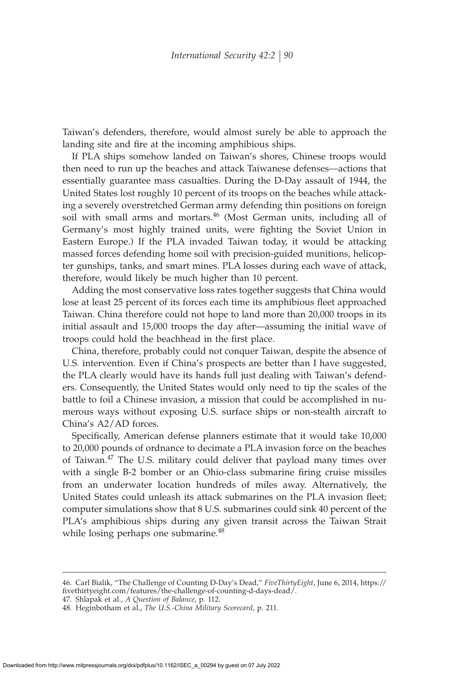Taiwan's defenders, therefore, would almost surely be able to approach the landing site and fire at the incoming amphibious ships.

If PLA ships somehow landed on Taiwan's shores, Chinese troops would then need to run up the beaches and attack Taiwanese defenses—actions that essentially guarantee mass casualties. During the D-Day assault of 1944, the United States lost roughly 10 percent of its troops on the beaches while attacking a severely overstretched German army defending thin positions on foreign soil with small arms and mortars.<sup>46</sup> (Most German units, including all of Germany's most highly trained units, were fighting the Soviet Union in Eastern Europe.) If the PLA invaded Taiwan today, it would be attacking massed forces defending home soil with precision-guided munitions, helicopter gunships, tanks, and smart mines. PLA losses during each wave of attack, therefore, would likely be much higher than 10 percent.

Adding the most conservative loss rates together suggests that China would lose at least 25 percent of its forces each time its amphibious fleet approached Taiwan. China therefore could not hope to land more than 20,000 troops in its initial assault and 15,000 troops the day after—assuming the initial wave of troops could hold the beachhead in the first place.

China, therefore, probably could not conquer Taiwan, despite the absence of U.S. intervention. Even if China's prospects are better than I have suggested, the PLA clearly would have its hands full just dealing with Taiwan's defenders. Consequently, the United States would only need to tip the scales of the battle to foil a Chinese invasion, a mission that could be accomplished in numerous ways without exposing U.S. surface ships or non-stealth aircraft to China's A2/AD forces.

Specifically, American defense planners estimate that it would take 10,000 to 20,000 pounds of ordnance to decimate a PLA invasion force on the beaches of Taiwan. $47$  The U.S. military could deliver that payload many times over with a single B-2 bomber or an Ohio-class submarine firing cruise missiles from an underwater location hundreds of miles away. Alternatively, the United States could unleash its attack submarines on the PLA invasion fleet; computer simulations show that 8 U.S. submarines could sink 40 percent of the PLA's amphibious ships during any given transit across the Taiwan Strait while losing perhaps one submarine.<sup>48</sup>

<sup>46.</sup> Carl Bialik, "The Challenge of Counting D-Day's Dead," *FiveThirtyEight*, June 6, 2014, https:// fivethirtyeight.com/features/the-challenge-of-counting-d-days-dead/.

<sup>47.</sup> Shlapak et al., *A Question of Balance*, p. 112.

<sup>48.</sup> Heginbotham et al., *The U.S.-China Military Scorecard*, p. 211.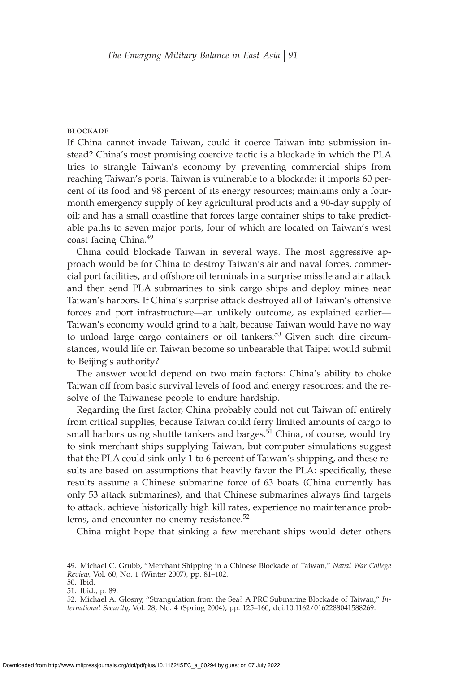#### **BLOCKADE**

If China cannot invade Taiwan, could it coerce Taiwan into submission instead? China's most promising coercive tactic is a blockade in which the PLA tries to strangle Taiwan's economy by preventing commercial ships from reaching Taiwan's ports. Taiwan is vulnerable to a blockade: it imports 60 percent of its food and 98 percent of its energy resources; maintains only a fourmonth emergency supply of key agricultural products and a 90-day supply of oil; and has a small coastline that forces large container ships to take predictable paths to seven major ports, four of which are located on Taiwan's west coast facing China.<sup>49</sup>

China could blockade Taiwan in several ways. The most aggressive approach would be for China to destroy Taiwan's air and naval forces, commercial port facilities, and offshore oil terminals in a surprise missile and air attack and then send PLA submarines to sink cargo ships and deploy mines near Taiwan's harbors. If China's surprise attack destroyed all of Taiwan's offensive forces and port infrastructure—an unlikely outcome, as explained earlier— Taiwan's economy would grind to a halt, because Taiwan would have no way to unload large cargo containers or oil tankers. $50$  Given such dire circumstances, would life on Taiwan become so unbearable that Taipei would submit to Beijing's authority?

The answer would depend on two main factors: China's ability to choke Taiwan off from basic survival levels of food and energy resources; and the resolve of the Taiwanese people to endure hardship.

Regarding the first factor, China probably could not cut Taiwan off entirely from critical supplies, because Taiwan could ferry limited amounts of cargo to small harbors using shuttle tankers and barges.<sup>51</sup> China, of course, would try to sink merchant ships supplying Taiwan, but computer simulations suggest that the PLA could sink only 1 to 6 percent of Taiwan's shipping, and these results are based on assumptions that heavily favor the PLA: specifically, these results assume a Chinese submarine force of 63 boats (China currently has only 53 attack submarines), and that Chinese submarines always find targets to attack, achieve historically high kill rates, experience no maintenance problems, and encounter no enemy resistance.<sup>52</sup>

China might hope that sinking a few merchant ships would deter others

<sup>49.</sup> Michael C. Grubb, "Merchant Shipping in a Chinese Blockade of Taiwan," *Naval War College Review*, Vol. 60, No. 1 (Winter 2007), pp. 81–102.

<sup>50.</sup> Ibid.

<sup>51.</sup> Ibid., p. 89.

<sup>52.</sup> Michael A. Glosny, "Strangulation from the Sea? A PRC Submarine Blockade of Taiwan," *International Security*, Vol. 28, No. 4 (Spring 2004), pp. 125–160, doi:10.1162/0162288041588269.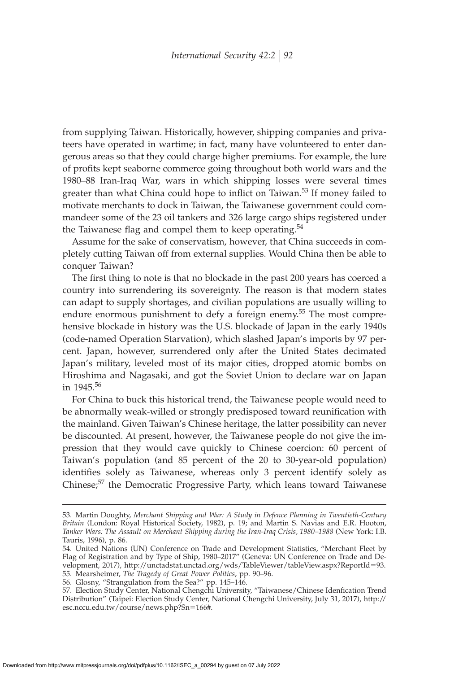from supplying Taiwan. Historically, however, shipping companies and privateers have operated in wartime; in fact, many have volunteered to enter dangerous areas so that they could charge higher premiums. For example, the lure of profits kept seaborne commerce going throughout both world wars and the 1980–88 Iran-Iraq War, wars in which shipping losses were several times greater than what China could hope to inflict on Taiwan.<sup>53</sup> If money failed to motivate merchants to dock in Taiwan, the Taiwanese government could commandeer some of the 23 oil tankers and 326 large cargo ships registered under the Taiwanese flag and compel them to keep operating.<sup>54</sup>

Assume for the sake of conservatism, however, that China succeeds in completely cutting Taiwan off from external supplies. Would China then be able to conquer Taiwan?

The first thing to note is that no blockade in the past 200 years has coerced a country into surrendering its sovereignty. The reason is that modern states can adapt to supply shortages, and civilian populations are usually willing to endure enormous punishment to defy a foreign enemy.<sup>55</sup> The most comprehensive blockade in history was the U.S. blockade of Japan in the early 1940s (code-named Operation Starvation), which slashed Japan's imports by 97 percent. Japan, however, surrendered only after the United States decimated Japan's military, leveled most of its major cities, dropped atomic bombs on Hiroshima and Nagasaki, and got the Soviet Union to declare war on Japan in 1945.<sup>56</sup>

For China to buck this historical trend, the Taiwanese people would need to be abnormally weak-willed or strongly predisposed toward reunification with the mainland. Given Taiwan's Chinese heritage, the latter possibility can never be discounted. At present, however, the Taiwanese people do not give the impression that they would cave quickly to Chinese coercion: 60 percent of Taiwan's population (and 85 percent of the 20 to 30-year-old population) identifies solely as Taiwanese, whereas only 3 percent identify solely as Chinese;<sup>57</sup> the Democratic Progressive Party, which leans toward Taiwanese

<sup>53.</sup> Martin Doughty, *Merchant Shipping and War: A Study in Defence Planning in Twentieth-Century Britain* (London: Royal Historical Society, 1982), p. 19; and Martin S. Navias and E.R. Hooton, *Tanker Wars: The Assault on Merchant Shipping during the Iran-Iraq Crisis, 1980–1988* (New York: I.B. Tauris, 1996), p. 86.

<sup>54.</sup> United Nations (UN) Conference on Trade and Development Statistics, "Merchant Fleet by Flag of Registration and by Type of Ship, 1980–2017" (Geneva: UN Conference on Trade and Development, 2017), http://unctadstat.unctad.org/wds/TableViewer/tableView.aspx?ReportId-93. 55. Mearsheimer, *The Tragedy of Great Power Politics*, pp. 90–96.

<sup>56.</sup> Glosny, "Strangulation from the Sea?" pp. 145–146.

<sup>57.</sup> Election Study Center, National Chengchi University, "Taiwanese/Chinese Idenfication Trend Distribution" (Taipei: Election Study Center, National Chengchi University, July 31, 2017), http:// esc.nccu.edu.tw/course/news.php?Sn-166#.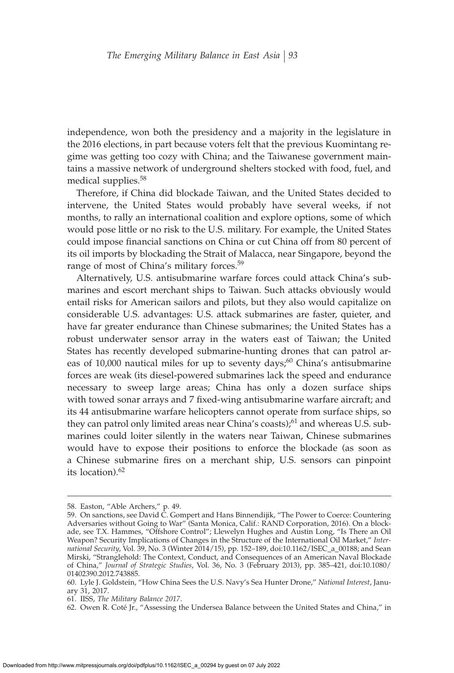independence, won both the presidency and a majority in the legislature in the 2016 elections, in part because voters felt that the previous Kuomintang regime was getting too cozy with China; and the Taiwanese government maintains a massive network of underground shelters stocked with food, fuel, and medical supplies.<sup>58</sup>

Therefore, if China did blockade Taiwan, and the United States decided to intervene, the United States would probably have several weeks, if not months, to rally an international coalition and explore options, some of which would pose little or no risk to the U.S. military. For example, the United States could impose financial sanctions on China or cut China off from 80 percent of its oil imports by blockading the Strait of Malacca, near Singapore, beyond the range of most of China's military forces.<sup>59</sup>

Alternatively, U.S. antisubmarine warfare forces could attack China's submarines and escort merchant ships to Taiwan. Such attacks obviously would entail risks for American sailors and pilots, but they also would capitalize on considerable U.S. advantages: U.S. attack submarines are faster, quieter, and have far greater endurance than Chinese submarines; the United States has a robust underwater sensor array in the waters east of Taiwan; the United States has recently developed submarine-hunting drones that can patrol areas of 10,000 nautical miles for up to seventy days;<sup>60</sup> China's antisubmarine forces are weak (its diesel-powered submarines lack the speed and endurance necessary to sweep large areas; China has only a dozen surface ships with towed sonar arrays and 7 fixed-wing antisubmarine warfare aircraft; and its 44 antisubmarine warfare helicopters cannot operate from surface ships, so they can patrol only limited areas near China's coasts); $61$  and whereas U.S. submarines could loiter silently in the waters near Taiwan, Chinese submarines would have to expose their positions to enforce the blockade (as soon as a Chinese submarine fires on a merchant ship, U.S. sensors can pinpoint its location).<sup>62</sup>

<sup>58.</sup> Easton, "Able Archers," p. 49.

<sup>59.</sup> On sanctions, see David C. Gompert and Hans Binnendijik, "The Power to Coerce: Countering Adversaries without Going to War" (Santa Monica, Calif.: RAND Corporation, 2016). On a blockade, see T.X. Hammes, "Offshore Control"; Llewelyn Hughes and Austin Long, "Is There an Oil Weapon? Security Implications of Changes in the Structure of the International Oil Market," *International Security*, Vol. 39, No. 3 (Winter 2014/15), pp. 152–189, doi:10.1162/ISEC\_a\_00188; and Sean Mirski, "Stranglehold: The Context, Conduct, and Consequences of an American Naval Blockade of China," *Journal of Strategic Studies*, Vol. 36, No. 3 (February 2013), pp. 385–421, doi:10.1080/ 01402390.2012.743885.

<sup>60.</sup> Lyle J. Goldstein, "How China Sees the U.S. Navy's Sea Hunter Drone," *National Interest*, January 31, 2017.

<sup>61.</sup> IISS, *The Military Balance 2017*.

<sup>62.</sup> Owen R. Coté Jr., "Assessing the Undersea Balance between the United States and China," in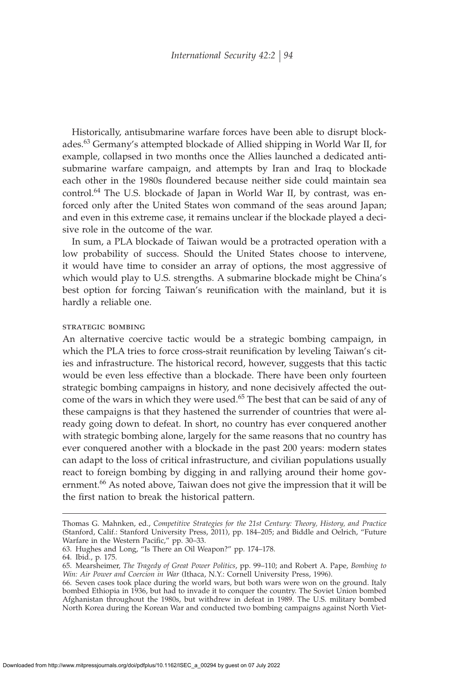Historically, antisubmarine warfare forces have been able to disrupt blockades.<sup>63</sup> Germany's attempted blockade of Allied shipping in World War II, for example, collapsed in two months once the Allies launched a dedicated antisubmarine warfare campaign, and attempts by Iran and Iraq to blockade each other in the 1980s floundered because neither side could maintain sea control.<sup>64</sup> The U.S. blockade of Japan in World War II, by contrast, was enforced only after the United States won command of the seas around Japan; and even in this extreme case, it remains unclear if the blockade played a decisive role in the outcome of the war.

In sum, a PLA blockade of Taiwan would be a protracted operation with a low probability of success. Should the United States choose to intervene, it would have time to consider an array of options, the most aggressive of which would play to U.S. strengths. A submarine blockade might be China's best option for forcing Taiwan's reunification with the mainland, but it is hardly a reliable one.

## strategic bombing

An alternative coercive tactic would be a strategic bombing campaign, in which the PLA tries to force cross-strait reunification by leveling Taiwan's cities and infrastructure. The historical record, however, suggests that this tactic would be even less effective than a blockade. There have been only fourteen strategic bombing campaigns in history, and none decisively affected the outcome of the wars in which they were used.<sup>65</sup> The best that can be said of any of these campaigns is that they hastened the surrender of countries that were already going down to defeat. In short, no country has ever conquered another with strategic bombing alone, largely for the same reasons that no country has ever conquered another with a blockade in the past 200 years: modern states can adapt to the loss of critical infrastructure, and civilian populations usually react to foreign bombing by digging in and rallying around their home government.<sup>66</sup> As noted above, Taiwan does not give the impression that it will be the first nation to break the historical pattern.

Thomas G. Mahnken, ed., *Competitive Strategies for the 21st Century: Theory, History, and Practice* (Stanford, Calif.: Stanford University Press, 2011), pp. 184–205; and Biddle and Oelrich, "Future Warfare in the Western Pacific," pp. 30-33.

<sup>63.</sup> Hughes and Long, "Is There an Oil Weapon?" pp. 174–178.

<sup>64.</sup> Ibid., p. 175.

<sup>65.</sup> Mearsheimer, *The Tragedy of Great Power Politics*, pp. 99–110; and Robert A. Pape, *Bombing to Win: Air Power and Coercion in War* (Ithaca, N.Y.: Cornell University Press, 1996).

<sup>66.</sup> Seven cases took place during the world wars, but both wars were won on the ground. Italy bombed Ethiopia in 1936, but had to invade it to conquer the country. The Soviet Union bombed Afghanistan throughout the 1980s, but withdrew in defeat in 1989. The U.S. military bombed North Korea during the Korean War and conducted two bombing campaigns against North Viet-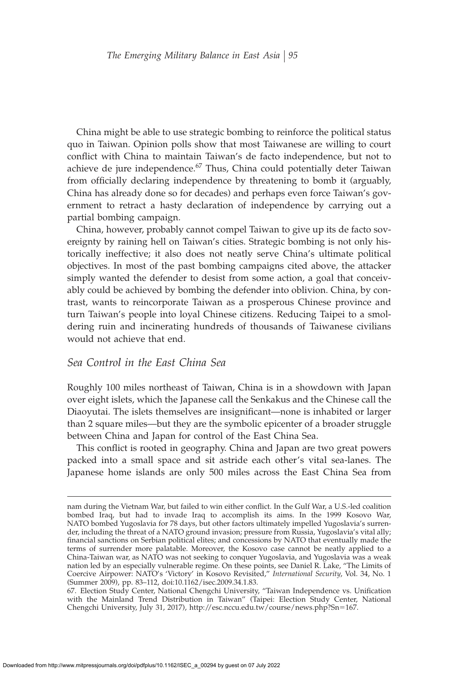China might be able to use strategic bombing to reinforce the political status quo in Taiwan. Opinion polls show that most Taiwanese are willing to court conflict with China to maintain Taiwan's de facto independence, but not to achieve de jure independence.<sup>67</sup> Thus, China could potentially deter Taiwan from officially declaring independence by threatening to bomb it (arguably, China has already done so for decades) and perhaps even force Taiwan's government to retract a hasty declaration of independence by carrying out a partial bombing campaign.

China, however, probably cannot compel Taiwan to give up its de facto sovereignty by raining hell on Taiwan's cities. Strategic bombing is not only historically ineffective; it also does not neatly serve China's ultimate political objectives. In most of the past bombing campaigns cited above, the attacker simply wanted the defender to desist from some action, a goal that conceivably could be achieved by bombing the defender into oblivion. China, by contrast, wants to reincorporate Taiwan as a prosperous Chinese province and turn Taiwan's people into loyal Chinese citizens. Reducing Taipei to a smoldering ruin and incinerating hundreds of thousands of Taiwanese civilians would not achieve that end.

# *Sea Control in the East China Sea*

Roughly 100 miles northeast of Taiwan, China is in a showdown with Japan over eight islets, which the Japanese call the Senkakus and the Chinese call the Diaoyutai. The islets themselves are insignificant—none is inhabited or larger than 2 square miles—but they are the symbolic epicenter of a broader struggle between China and Japan for control of the East China Sea.

This conflict is rooted in geography. China and Japan are two great powers packed into a small space and sit astride each other's vital sea-lanes. The Japanese home islands are only 500 miles across the East China Sea from

nam during the Vietnam War, but failed to win either conflict. In the Gulf War, a U.S.-led coalition bombed Iraq, but had to invade Iraq to accomplish its aims. In the 1999 Kosovo War, NATO bombed Yugoslavia for 78 days, but other factors ultimately impelled Yugoslavia's surrender, including the threat of a NATO ground invasion; pressure from Russia, Yugoslavia's vital ally; financial sanctions on Serbian political elites; and concessions by NATO that eventually made the terms of surrender more palatable. Moreover, the Kosovo case cannot be neatly applied to a China-Taiwan war, as NATO was not seeking to conquer Yugoslavia, and Yugoslavia was a weak nation led by an especially vulnerable regime. On these points, see Daniel R. Lake, "The Limits of Coercive Airpower: NATO's 'Victory' in Kosovo Revisited," *International Security*, Vol. 34, No. 1 (Summer 2009), pp. 83–112, doi:10.1162/isec.2009.34.1.83.

<sup>67.</sup> Election Study Center, National Chengchi University, "Taiwan Independence vs. Unification with the Mainland Trend Distribution in Taiwan" (Taipei: Election Study Center, National Chengchi University, July 31, 2017), http://esc.nccu.edu.tw/course/news.php?Sn-167.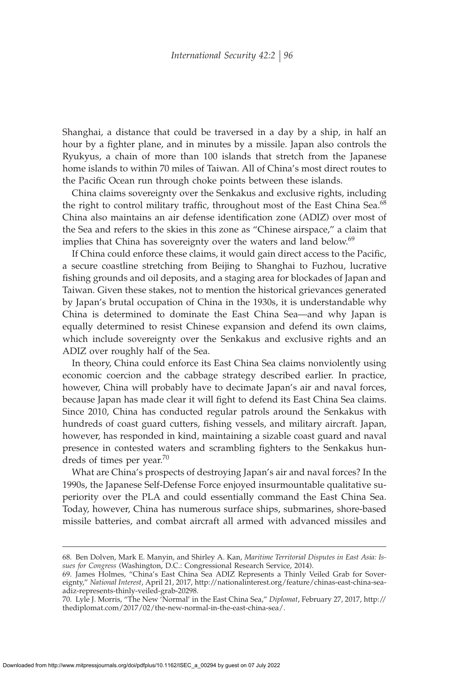Shanghai, a distance that could be traversed in a day by a ship, in half an hour by a fighter plane, and in minutes by a missile. Japan also controls the Ryukyus, a chain of more than 100 islands that stretch from the Japanese home islands to within 70 miles of Taiwan. All of China's most direct routes to the Pacific Ocean run through choke points between these islands.

China claims sovereignty over the Senkakus and exclusive rights, including the right to control military traffic, throughout most of the East China Sea. $^{68}$ China also maintains an air defense identification zone (ADIZ) over most of the Sea and refers to the skies in this zone as "Chinese airspace," a claim that implies that China has sovereignty over the waters and land below.<sup>69</sup>

If China could enforce these claims, it would gain direct access to the Pacific, a secure coastline stretching from Beijing to Shanghai to Fuzhou, lucrative fishing grounds and oil deposits, and a staging area for blockades of Japan and Taiwan. Given these stakes, not to mention the historical grievances generated by Japan's brutal occupation of China in the 1930s, it is understandable why China is determined to dominate the East China Sea—and why Japan is equally determined to resist Chinese expansion and defend its own claims, which include sovereignty over the Senkakus and exclusive rights and an ADIZ over roughly half of the Sea.

In theory, China could enforce its East China Sea claims nonviolently using economic coercion and the cabbage strategy described earlier. In practice, however, China will probably have to decimate Japan's air and naval forces, because Japan has made clear it will fight to defend its East China Sea claims. Since 2010, China has conducted regular patrols around the Senkakus with hundreds of coast guard cutters, fishing vessels, and military aircraft. Japan, however, has responded in kind, maintaining a sizable coast guard and naval presence in contested waters and scrambling fighters to the Senkakus hundreds of times per year.<sup>70</sup>

What are China's prospects of destroying Japan's air and naval forces? In the 1990s, the Japanese Self-Defense Force enjoyed insurmountable qualitative superiority over the PLA and could essentially command the East China Sea. Today, however, China has numerous surface ships, submarines, shore-based missile batteries, and combat aircraft all armed with advanced missiles and

<sup>68.</sup> Ben Dolven, Mark E. Manyin, and Shirley A. Kan, *Maritime Territorial Disputes in East Asia: Issues for Congress* (Washington, D.C.: Congressional Research Service, 2014).

<sup>69.</sup> James Holmes, "China's East China Sea ADIZ Represents a Thinly Veiled Grab for Sovereignty," *National Interest*, April 21, 2017, http://nationalinterest.org/feature/chinas-east-china-seaadiz-represents-thinly-veiled-grab-20298.

<sup>70.</sup> Lyle J. Morris, "The New 'Normal' in the East China Sea," *Diplomat*, February 27, 2017, http:// thediplomat.com/2017/02/the-new-normal-in-the-east-china-sea/.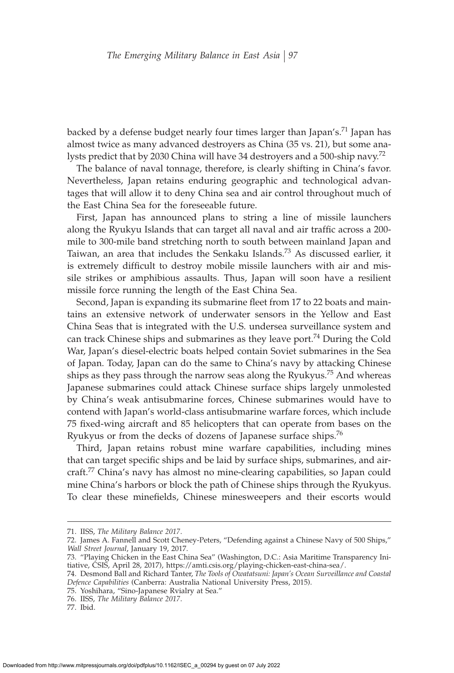backed by a defense budget nearly four times larger than Japan's.<sup>71</sup> Japan has almost twice as many advanced destroyers as China (35 vs. 21), but some analysts predict that by 2030 China will have 34 destroyers and a 500-ship navy.<sup>72</sup>

The balance of naval tonnage, therefore, is clearly shifting in China's favor. Nevertheless, Japan retains enduring geographic and technological advantages that will allow it to deny China sea and air control throughout much of the East China Sea for the foreseeable future.

First, Japan has announced plans to string a line of missile launchers along the Ryukyu Islands that can target all naval and air traffic across a 200mile to 300-mile band stretching north to south between mainland Japan and Taiwan, an area that includes the Senkaku Islands.<sup>73</sup> As discussed earlier, it is extremely difficult to destroy mobile missile launchers with air and missile strikes or amphibious assaults. Thus, Japan will soon have a resilient missile force running the length of the East China Sea.

Second, Japan is expanding its submarine fleet from 17 to 22 boats and maintains an extensive network of underwater sensors in the Yellow and East China Seas that is integrated with the U.S. undersea surveillance system and can track Chinese ships and submarines as they leave port.<sup>74</sup> During the Cold War, Japan's diesel-electric boats helped contain Soviet submarines in the Sea of Japan. Today, Japan can do the same to China's navy by attacking Chinese ships as they pass through the narrow seas along the Ryukyus.<sup>75</sup> And whereas Japanese submarines could attack Chinese surface ships largely unmolested by China's weak antisubmarine forces, Chinese submarines would have to contend with Japan's world-class antisubmarine warfare forces, which include 75 fixed-wing aircraft and 85 helicopters that can operate from bases on the Ryukyus or from the decks of dozens of Japanese surface ships.<sup>76</sup>

Third, Japan retains robust mine warfare capabilities, including mines that can target specific ships and be laid by surface ships, submarines, and aircraft.<sup>77</sup> China's navy has almost no mine-clearing capabilities, so Japan could mine China's harbors or block the path of Chinese ships through the Ryukyus. To clear these minefields, Chinese minesweepers and their escorts would

- 75. Yoshihara, "Sino-Japanese Rvialry at Sea."
- 76. IISS, *The Military Balance 2017*.
- 77. Ibid.

<sup>71.</sup> IISS, *The Military Balance 2017*.

<sup>72.</sup> James A. Fannell and Scott Cheney-Peters, "Defending against a Chinese Navy of 500 Ships," *Wall Street Journal*, January 19, 2017.

<sup>73. &</sup>quot;Playing Chicken in the East China Sea" (Washington, D.C.: Asia Maritime Transparency Initiative, CSIS, April 28, 2017), https://amti.csis.org/playing-chicken-east-china-sea/.

<sup>74.</sup> Desmond Ball and Richard Tanter, *The Tools of Owatatsuni: Japan's Ocean Surveillance and Coastal Defence Capabilities* (Canberra: Australia National University Press, 2015).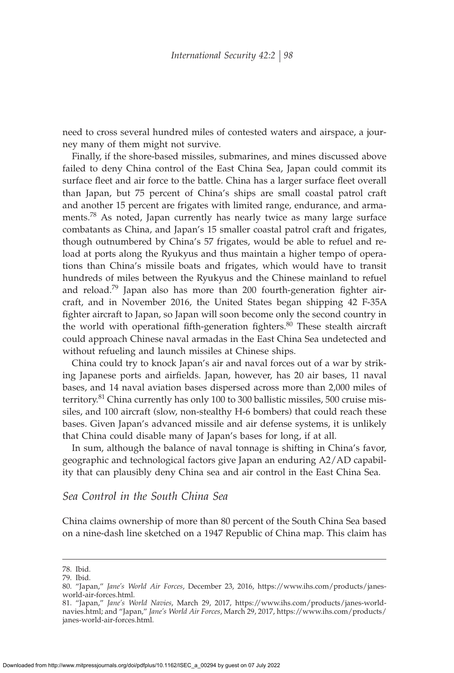need to cross several hundred miles of contested waters and airspace, a journey many of them might not survive.

Finally, if the shore-based missiles, submarines, and mines discussed above failed to deny China control of the East China Sea, Japan could commit its surface fleet and air force to the battle. China has a larger surface fleet overall than Japan, but 75 percent of China's ships are small coastal patrol craft and another 15 percent are frigates with limited range, endurance, and armaments.<sup>78</sup> As noted, Japan currently has nearly twice as many large surface combatants as China, and Japan's 15 smaller coastal patrol craft and frigates, though outnumbered by China's 57 frigates, would be able to refuel and reload at ports along the Ryukyus and thus maintain a higher tempo of operations than China's missile boats and frigates, which would have to transit hundreds of miles between the Ryukyus and the Chinese mainland to refuel and reload.<sup>79</sup> Japan also has more than 200 fourth-generation fighter aircraft, and in November 2016, the United States began shipping 42 F-35A fighter aircraft to Japan, so Japan will soon become only the second country in the world with operational fifth-generation fighters.<sup>80</sup> These stealth aircraft could approach Chinese naval armadas in the East China Sea undetected and without refueling and launch missiles at Chinese ships.

China could try to knock Japan's air and naval forces out of a war by striking Japanese ports and airfields. Japan, however, has 20 air bases, 11 naval bases, and 14 naval aviation bases dispersed across more than 2,000 miles of territory.<sup>81</sup> China currently has only 100 to 300 ballistic missiles, 500 cruise missiles, and 100 aircraft (slow, non-stealthy H-6 bombers) that could reach these bases. Given Japan's advanced missile and air defense systems, it is unlikely that China could disable many of Japan's bases for long, if at all.

In sum, although the balance of naval tonnage is shifting in China's favor, geographic and technological factors give Japan an enduring A2/AD capability that can plausibly deny China sea and air control in the East China Sea.

# *Sea Control in the South China Sea*

China claims ownership of more than 80 percent of the South China Sea based on a nine-dash line sketched on a 1947 Republic of China map. This claim has

<sup>78.</sup> Ibid.

<sup>79.</sup> Ibid.

<sup>80. &</sup>quot;Japan," *Jane's World Air Forces*, December 23, 2016, https://www.ihs.com/products/janesworld-air-forces.html.

<sup>81. &</sup>quot;Japan," *Jane's World Navies*, March 29, 2017, https://www.ihs.com/products/janes-worldnavies.html; and "Japan," *Jane's World Air Forces*, March 29, 2017, https://www.ihs.com/products/ janes-world-air-forces.html.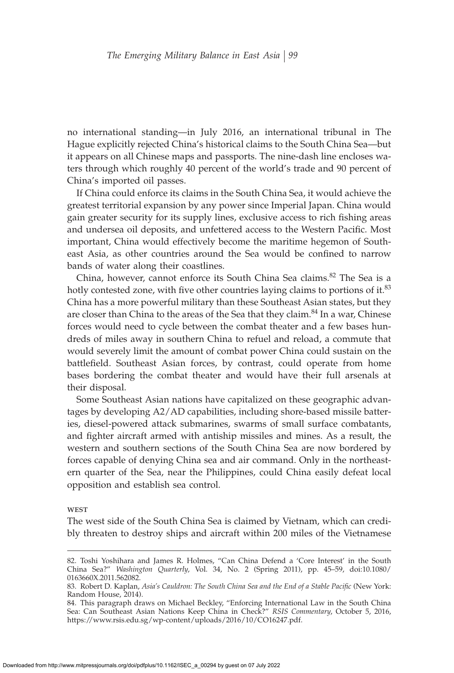no international standing—in July 2016, an international tribunal in The Hague explicitly rejected China's historical claims to the South China Sea—but it appears on all Chinese maps and passports. The nine-dash line encloses waters through which roughly 40 percent of the world's trade and 90 percent of China's imported oil passes.

If China could enforce its claims in the South China Sea, it would achieve the greatest territorial expansion by any power since Imperial Japan. China would gain greater security for its supply lines, exclusive access to rich fishing areas and undersea oil deposits, and unfettered access to the Western Pacific. Most important, China would effectively become the maritime hegemon of Southeast Asia, as other countries around the Sea would be confined to narrow bands of water along their coastlines.

China, however, cannot enforce its South China Sea claims.<sup>82</sup> The Sea is a hotly contested zone, with five other countries laying claims to portions of it. $83$ China has a more powerful military than these Southeast Asian states, but they are closer than China to the areas of the Sea that they claim.<sup>84</sup> In a war, Chinese forces would need to cycle between the combat theater and a few bases hundreds of miles away in southern China to refuel and reload, a commute that would severely limit the amount of combat power China could sustain on the battlefield. Southeast Asian forces, by contrast, could operate from home bases bordering the combat theater and would have their full arsenals at their disposal.

Some Southeast Asian nations have capitalized on these geographic advantages by developing A2/AD capabilities, including shore-based missile batteries, diesel-powered attack submarines, swarms of small surface combatants, and fighter aircraft armed with antiship missiles and mines. As a result, the western and southern sections of the South China Sea are now bordered by forces capable of denying China sea and air command. Only in the northeastern quarter of the Sea, near the Philippines, could China easily defeat local opposition and establish sea control.

#### **WEST**

The west side of the South China Sea is claimed by Vietnam, which can credibly threaten to destroy ships and aircraft within 200 miles of the Vietnamese

<sup>82.</sup> Toshi Yoshihara and James R. Holmes, "Can China Defend a 'Core Interest' in the South China Sea?" *Washington Quarterly*, Vol. 34, No. 2 (Spring 2011), pp. 45–59, doi:10.1080/ 0163660X.2011.562082.

<sup>83.</sup> Robert D. Kaplan, Asia's Cauldron: The South China Sea and the End of a Stable Pacific (New York: Random House, 2014).

<sup>84.</sup> This paragraph draws on Michael Beckley, "Enforcing International Law in the South China Sea: Can Southeast Asian Nations Keep China in Check?" *RSIS Commentary*, October 5, 2016, https://www.rsis.edu.sg/wp-content/uploads/2016/10/CO16247.pdf.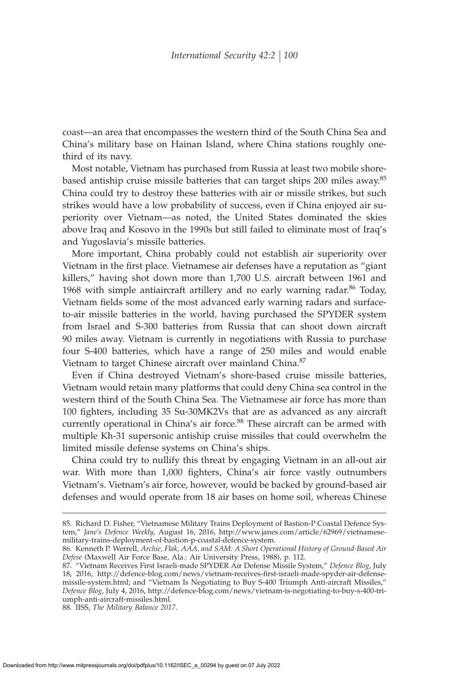coast—an area that encompasses the western third of the South China Sea and China's military base on Hainan Island, where China stations roughly onethird of its navy.

Most notable, Vietnam has purchased from Russia at least two mobile shorebased antiship cruise missile batteries that can target ships 200 miles away.<sup>85</sup> China could try to destroy these batteries with air or missile strikes, but such strikes would have a low probability of success, even if China enjoyed air superiority over Vietnam—as noted, the United States dominated the skies above Iraq and Kosovo in the 1990s but still failed to eliminate most of Iraq's and Yugoslavia's missile batteries.

More important, China probably could not establish air superiority over Vietnam in the first place. Vietnamese air defenses have a reputation as "giant" killers," having shot down more than 1,700 U.S. aircraft between 1961 and 1968 with simple antiaircraft artillery and no early warning radar.<sup>86</sup> Today, Vietnam fields some of the most advanced early warning radars and surfaceto-air missile batteries in the world, having purchased the SPYDER system from Israel and S-300 batteries from Russia that can shoot down aircraft 90 miles away. Vietnam is currently in negotiations with Russia to purchase four S-400 batteries, which have a range of 250 miles and would enable Vietnam to target Chinese aircraft over mainland China.<sup>87</sup>

Even if China destroyed Vietnam's shore-based cruise missile batteries, Vietnam would retain many platforms that could deny China sea control in the western third of the South China Sea. The Vietnamese air force has more than 100 fighters, including 35 Su-30MK2Vs that are as advanced as any aircraft currently operational in China's air force.<sup>88</sup> These aircraft can be armed with multiple Kh-31 supersonic antiship cruise missiles that could overwhelm the limited missile defense systems on China's ships.

China could try to nullify this threat by engaging Vietnam in an all-out air war. With more than 1,000 fighters, China's air force vastly outnumbers Vietnam's. Vietnam's air force, however, would be backed by ground-based air defenses and would operate from 18 air bases on home soil, whereas Chinese

88. IISS, *The Military Balance 2017*.

<sup>85.</sup> Richard D. Fisher, "Vietnamese Military Trains Deployment of Bastion-P Coastal Defence System," *Jane's Defence Weekly*, August 16, 2016, http://www.janes.com/article/62969/vietnamesemilitary-trains-deployment-of-bastion-p-coastal-defence-system.

<sup>86.</sup> Kenneth P. Werrell, *Archie, Flak, AAA, and SAM: A Short Operational History of Ground-Based Air Defese* (Maxwell Air Force Base, Ala.: Air University Press, 1988), p. 112.

<sup>87. &</sup>quot;Vietnam Receives First Israeli-made SPYDER Air Defense Missile System," *Defence Blog*, July 18, 2016, http://defence-blog.com/news/vietnam-receives-first-israeli-made-spyder-air-defensemissile-system.html; and "Vietnam Is Negotiating to Buy S-400 Triumph Anti-aircraft Missiles," *Defence Blog*, July 4, 2016, http://defence-blog.com/news/vietnam-is-negotiating-to-buy-s-400-triumph-anti-aircraft-missiles.html.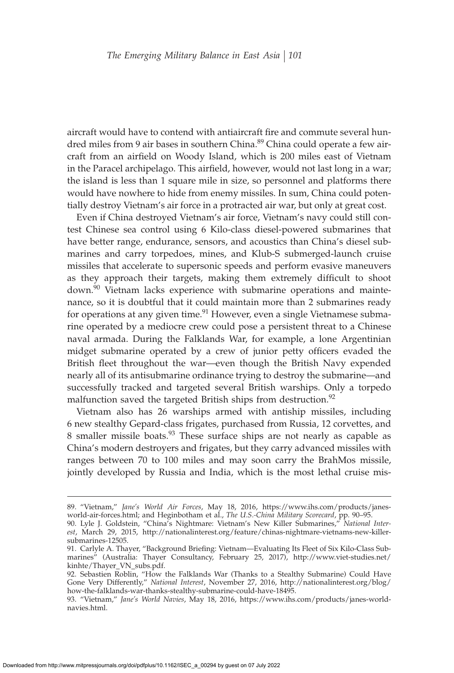aircraft would have to contend with antiaircraft fire and commute several hundred miles from 9 air bases in southern China.<sup>89</sup> China could operate a few aircraft from an airfield on Woody Island, which is 200 miles east of Vietnam in the Paracel archipelago. This airfield, however, would not last long in a war; the island is less than 1 square mile in size, so personnel and platforms there would have nowhere to hide from enemy missiles. In sum, China could potentially destroy Vietnam's air force in a protracted air war, but only at great cost.

Even if China destroyed Vietnam's air force, Vietnam's navy could still contest Chinese sea control using 6 Kilo-class diesel-powered submarines that have better range, endurance, sensors, and acoustics than China's diesel submarines and carry torpedoes, mines, and Klub-S submerged-launch cruise missiles that accelerate to supersonic speeds and perform evasive maneuvers as they approach their targets, making them extremely difficult to shoot down.<sup>90</sup> Vietnam lacks experience with submarine operations and maintenance, so it is doubtful that it could maintain more than 2 submarines ready for operations at any given time.<sup>91</sup> However, even a single Vietnamese submarine operated by a mediocre crew could pose a persistent threat to a Chinese naval armada. During the Falklands War, for example, a lone Argentinian midget submarine operated by a crew of junior petty officers evaded the British fleet throughout the war—even though the British Navy expended nearly all of its antisubmarine ordinance trying to destroy the submarine—and successfully tracked and targeted several British warships. Only a torpedo malfunction saved the targeted British ships from destruction.<sup>92</sup>

Vietnam also has 26 warships armed with antiship missiles, including 6 new stealthy Gepard-class frigates, purchased from Russia, 12 corvettes, and 8 smaller missile boats.<sup>93</sup> These surface ships are not nearly as capable as China's modern destroyers and frigates, but they carry advanced missiles with ranges between 70 to 100 miles and may soon carry the BrahMos missile, jointly developed by Russia and India, which is the most lethal cruise mis-

<sup>89. &</sup>quot;Vietnam," *Jane's World Air Forces*, May 18, 2016, https://www.ihs.com/products/janesworld-air-forces.html; and Heginbotham et al., *The U.S.-China Military Scorecard*, pp. 90–95.

<sup>90.</sup> Lyle J. Goldstein, "China's Nightmare: Vietnam's New Killer Submarines," *National Interest*, March 29, 2015, http://nationalinterest.org/feature/chinas-nightmare-vietnams-new-killersubmarines-12505.

<sup>91.</sup> Carlyle A. Thayer, "Background Briefing: Vietnam—Evaluating Its Fleet of Six Kilo-Class Submarines" (Australia: Thayer Consultancy, February 25, 2017), http://www.viet-studies.net/ kinhte/Thayer\_VN\_subs.pdf.

<sup>92.</sup> Sebastien Roblin, "How the Falklands War (Thanks to a Stealthy Submarine) Could Have Gone Very Differently," *National Interest*, November 27, 2016, http://nationalinterest.org/blog/ how-the-falklands-war-thanks-stealthy-submarine-could-have-18495.

<sup>93. &</sup>quot;Vietnam," *Jane's World Navies*, May 18, 2016, https://www.ihs.com/products/janes-worldnavies.html.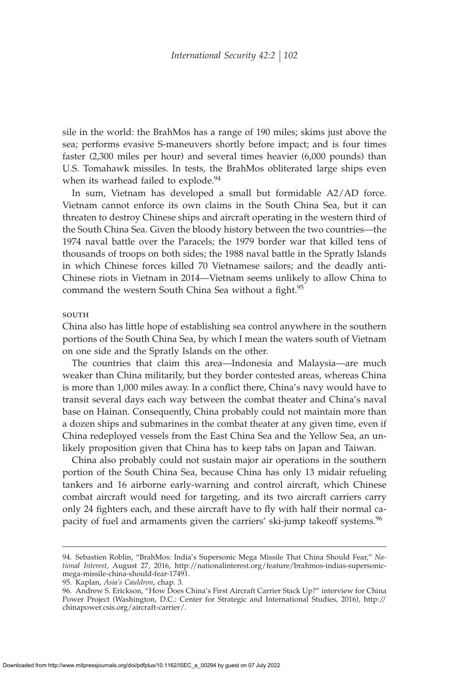sile in the world: the BrahMos has a range of 190 miles; skims just above the sea; performs evasive S-maneuvers shortly before impact; and is four times faster (2,300 miles per hour) and several times heavier (6,000 pounds) than U.S. Tomahawk missiles. In tests, the BrahMos obliterated large ships even when its warhead failed to explode.<sup>94</sup>

In sum, Vietnam has developed a small but formidable A2/AD force. Vietnam cannot enforce its own claims in the South China Sea, but it can threaten to destroy Chinese ships and aircraft operating in the western third of the South China Sea. Given the bloody history between the two countries—the 1974 naval battle over the Paracels; the 1979 border war that killed tens of thousands of troops on both sides; the 1988 naval battle in the Spratly Islands in which Chinese forces killed 70 Vietnamese sailors; and the deadly anti-Chinese riots in Vietnam in 2014—Vietnam seems unlikely to allow China to command the western South China Sea without a fight. $95$ 

#### south

China also has little hope of establishing sea control anywhere in the southern portions of the South China Sea, by which I mean the waters south of Vietnam on one side and the Spratly Islands on the other.

The countries that claim this area—Indonesia and Malaysia—are much weaker than China militarily, but they border contested areas, whereas China is more than 1,000 miles away. In a conflict there, China's navy would have to transit several days each way between the combat theater and China's naval base on Hainan. Consequently, China probably could not maintain more than a dozen ships and submarines in the combat theater at any given time, even if China redeployed vessels from the East China Sea and the Yellow Sea, an unlikely proposition given that China has to keep tabs on Japan and Taiwan.

China also probably could not sustain major air operations in the southern portion of the South China Sea, because China has only 13 midair refueling tankers and 16 airborne early-warning and control aircraft, which Chinese combat aircraft would need for targeting, and its two aircraft carriers carry only 24 fighters each, and these aircraft have to fly with half their normal capacity of fuel and armaments given the carriers' ski-jump takeoff systems.<sup>96</sup>

95. Kaplan, *Asia's Cauldron*, chap. 3.

<sup>94.</sup> Sebastien Roblin, "BrahMos: India's Supersonic Mega Missile That China Should Fear," *National Interest*, August 27, 2016, http://nationalinterest.org/feature/brahmos-indias-supersonicmega-missile-china-should-fear-17491.

<sup>96.</sup> Andrew S. Erickson, "How Does China's First Aircraft Carrier Stack Up?" interview for China Power Project (Washington, D.C.: Center for Strategic and International Studies, 2016), http:// chinapower.csis.org/aircraft-carrier/.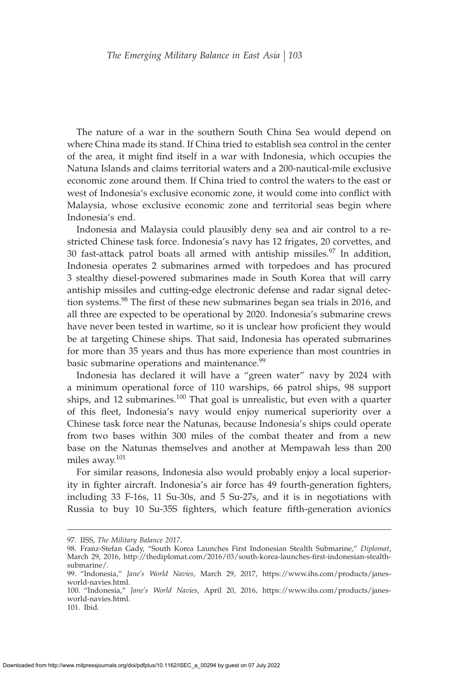The nature of a war in the southern South China Sea would depend on where China made its stand. If China tried to establish sea control in the center of the area, it might find itself in a war with Indonesia, which occupies the Natuna Islands and claims territorial waters and a 200-nautical-mile exclusive economic zone around them. If China tried to control the waters to the east or west of Indonesia's exclusive economic zone, it would come into conflict with Malaysia, whose exclusive economic zone and territorial seas begin where Indonesia's end.

Indonesia and Malaysia could plausibly deny sea and air control to a restricted Chinese task force. Indonesia's navy has 12 frigates, 20 corvettes, and 30 fast-attack patrol boats all armed with antiship missiles. $97$  In addition, Indonesia operates 2 submarines armed with torpedoes and has procured 3 stealthy diesel-powered submarines made in South Korea that will carry antiship missiles and cutting-edge electronic defense and radar signal detection systems.<sup>98</sup> The first of these new submarines began sea trials in 2016, and all three are expected to be operational by 2020. Indonesia's submarine crews have never been tested in wartime, so it is unclear how proficient they would be at targeting Chinese ships. That said, Indonesia has operated submarines for more than 35 years and thus has more experience than most countries in basic submarine operations and maintenance.<sup>99</sup>

Indonesia has declared it will have a "green water" navy by 2024 with a minimum operational force of 110 warships, 66 patrol ships, 98 support ships, and 12 submarines.<sup>100</sup> That goal is unrealistic, but even with a quarter of this fleet, Indonesia's navy would enjoy numerical superiority over a Chinese task force near the Natunas, because Indonesia's ships could operate from two bases within 300 miles of the combat theater and from a new base on the Natunas themselves and another at Mempawah less than 200 miles away.<sup>101</sup>

For similar reasons, Indonesia also would probably enjoy a local superiority in fighter aircraft. Indonesia's air force has 49 fourth-generation fighters, including 33 F-16s, 11 Su-30s, and 5 Su-27s, and it is in negotiations with Russia to buy 10 Su-35S fighters, which feature fifth-generation avionics

<sup>97.</sup> IISS, *The Military Balance 2017*.

<sup>98.</sup> Franz-Stefan Gady, "South Korea Launches First Indonesian Stealth Submarine," *Diplomat*, March 29, 2016, http://thediplomat.com/2016/03/south-korea-launches-first-indonesian-stealthsubmarine/.

<sup>99. &</sup>quot;Indonesia," *Jane's World Navies*, March 29, 2017, https://www.ihs.com/products/janesworld-navies.html.

<sup>100. &</sup>quot;Indonesia," *Jane's World Navies*, April 20, 2016, https://www.ihs.com/products/janesworld-navies.html.

<sup>101.</sup> Ibid.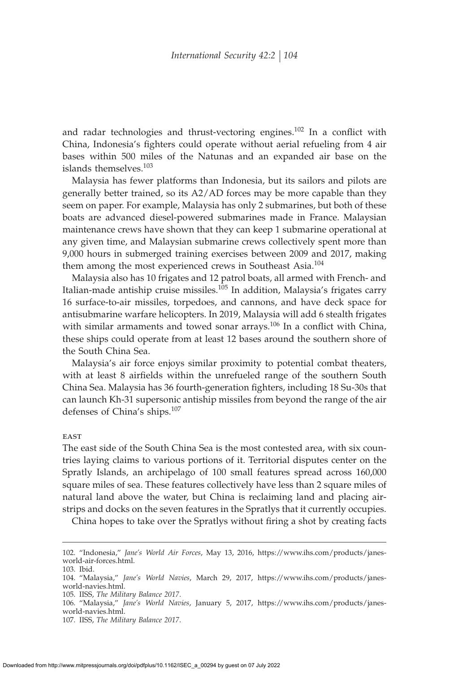and radar technologies and thrust-vectoring engines.<sup>102</sup> In a conflict with China, Indonesia's fighters could operate without aerial refueling from 4 air bases within 500 miles of the Natunas and an expanded air base on the islands themselves.<sup>103</sup>

Malaysia has fewer platforms than Indonesia, but its sailors and pilots are generally better trained, so its A2/AD forces may be more capable than they seem on paper. For example, Malaysia has only 2 submarines, but both of these boats are advanced diesel-powered submarines made in France. Malaysian maintenance crews have shown that they can keep 1 submarine operational at any given time, and Malaysian submarine crews collectively spent more than 9,000 hours in submerged training exercises between 2009 and 2017, making them among the most experienced crews in Southeast Asia.<sup>104</sup>

Malaysia also has 10 frigates and 12 patrol boats, all armed with French- and Italian-made antiship cruise missiles.<sup>105</sup> In addition, Malaysia's frigates carry 16 surface-to-air missiles, torpedoes, and cannons, and have deck space for antisubmarine warfare helicopters. In 2019, Malaysia will add 6 stealth frigates with similar armaments and towed sonar arrays.<sup>106</sup> In a conflict with China, these ships could operate from at least 12 bases around the southern shore of the South China Sea.

Malaysia's air force enjoys similar proximity to potential combat theaters, with at least 8 airfields within the unrefueled range of the southern South China Sea. Malaysia has 36 fourth-generation fighters, including 18 Su-30s that can launch Kh-31 supersonic antiship missiles from beyond the range of the air defenses of China's ships.<sup>107</sup>

## **EAST**

The east side of the South China Sea is the most contested area, with six countries laying claims to various portions of it. Territorial disputes center on the Spratly Islands, an archipelago of 100 small features spread across 160,000 square miles of sea. These features collectively have less than 2 square miles of natural land above the water, but China is reclaiming land and placing airstrips and docks on the seven features in the Spratlys that it currently occupies.

China hopes to take over the Spratlys without firing a shot by creating facts

<sup>102. &</sup>quot;Indonesia," *Jane's World Air Forces*, May 13, 2016, https://www.ihs.com/products/janesworld-air-forces.html.

<sup>103.</sup> Ibid.

<sup>104. &</sup>quot;Malaysia," *Jane's World Navies*, March 29, 2017, https://www.ihs.com/products/janesworld-navies.html.

<sup>105.</sup> IISS, *The Military Balance 2017*.

<sup>106. &</sup>quot;Malaysia," *Jane's World Navies*, January 5, 2017, https://www.ihs.com/products/janesworld-navies.html.

<sup>107.</sup> IISS, *The Military Balance 2017*.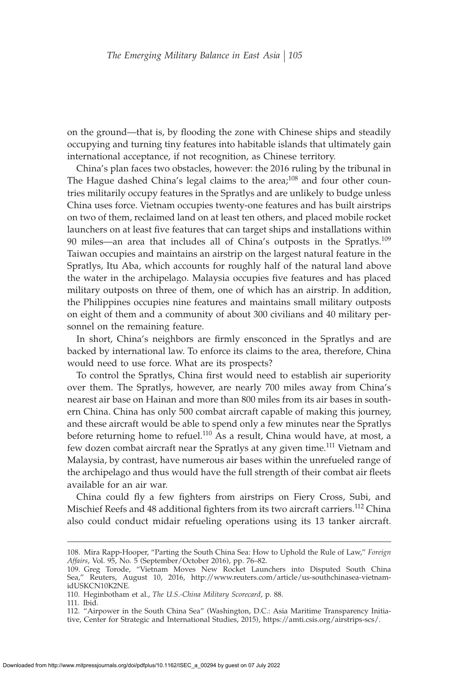on the ground—that is, by flooding the zone with Chinese ships and steadily occupying and turning tiny features into habitable islands that ultimately gain international acceptance, if not recognition, as Chinese territory.

China's plan faces two obstacles, however: the 2016 ruling by the tribunal in The Hague dashed China's legal claims to the area; $^{108}$  and four other countries militarily occupy features in the Spratlys and are unlikely to budge unless China uses force. Vietnam occupies twenty-one features and has built airstrips on two of them, reclaimed land on at least ten others, and placed mobile rocket launchers on at least five features that can target ships and installations within 90 miles—an area that includes all of China's outposts in the Spratlys.<sup>109</sup> Taiwan occupies and maintains an airstrip on the largest natural feature in the Spratlys, Itu Aba, which accounts for roughly half of the natural land above the water in the archipelago. Malaysia occupies five features and has placed military outposts on three of them, one of which has an airstrip. In addition, the Philippines occupies nine features and maintains small military outposts on eight of them and a community of about 300 civilians and 40 military personnel on the remaining feature.

In short, China's neighbors are firmly ensconced in the Spratlys and are backed by international law. To enforce its claims to the area, therefore, China would need to use force. What are its prospects?

To control the Spratlys, China first would need to establish air superiority over them. The Spratlys, however, are nearly 700 miles away from China's nearest air base on Hainan and more than 800 miles from its air bases in southern China. China has only 500 combat aircraft capable of making this journey, and these aircraft would be able to spend only a few minutes near the Spratlys before returning home to refuel.<sup>110</sup> As a result, China would have, at most, a few dozen combat aircraft near the Spratlys at any given time.<sup>111</sup> Vietnam and Malaysia, by contrast, have numerous air bases within the unrefueled range of the archipelago and thus would have the full strength of their combat air fleets available for an air war.

China could fly a few fighters from airstrips on Fiery Cross, Subi, and Mischief Reefs and 48 additional fighters from its two aircraft carriers.<sup>112</sup> China also could conduct midair refueling operations using its 13 tanker aircraft.

110. Heginbotham et al., *The U.S.-China Military Scorecard*, p. 88.

<sup>108.</sup> Mira Rapp-Hooper, "Parting the South China Sea: How to Uphold the Rule of Law," *Foreign Affairs*, Vol. 95, No. 5 (September/October 2016), pp. 76–82.

<sup>109.</sup> Greg Torode, "Vietnam Moves New Rocket Launchers into Disputed South China Sea," Reuters, August 10, 2016, http://www.reuters.com/article/us-southchinasea-vietnamidUSKCN10K2NE.

<sup>111.</sup> Ibid.

<sup>112. &</sup>quot;Airpower in the South China Sea" (Washington, D.C.: Asia Maritime Transparency Initiative, Center for Strategic and International Studies, 2015), https://amti.csis.org/airstrips-scs/.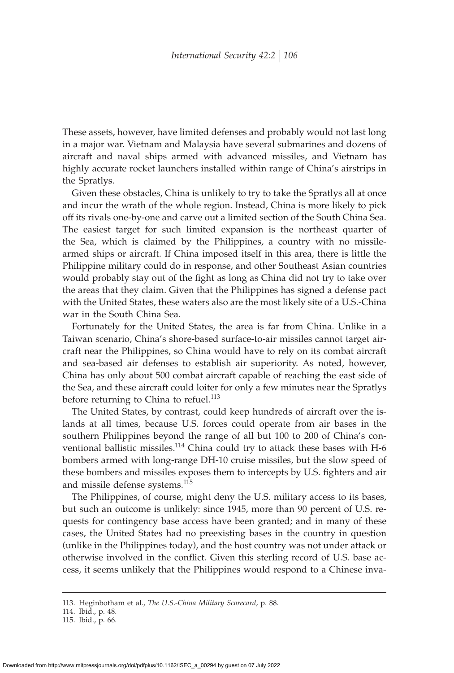These assets, however, have limited defenses and probably would not last long in a major war. Vietnam and Malaysia have several submarines and dozens of aircraft and naval ships armed with advanced missiles, and Vietnam has highly accurate rocket launchers installed within range of China's airstrips in the Spratlys.

Given these obstacles, China is unlikely to try to take the Spratlys all at once and incur the wrath of the whole region. Instead, China is more likely to pick off its rivals one-by-one and carve out a limited section of the South China Sea. The easiest target for such limited expansion is the northeast quarter of the Sea, which is claimed by the Philippines, a country with no missilearmed ships or aircraft. If China imposed itself in this area, there is little the Philippine military could do in response, and other Southeast Asian countries would probably stay out of the fight as long as China did not try to take over the areas that they claim. Given that the Philippines has signed a defense pact with the United States, these waters also are the most likely site of a U.S.-China war in the South China Sea.

Fortunately for the United States, the area is far from China. Unlike in a Taiwan scenario, China's shore-based surface-to-air missiles cannot target aircraft near the Philippines, so China would have to rely on its combat aircraft and sea-based air defenses to establish air superiority. As noted, however, China has only about 500 combat aircraft capable of reaching the east side of the Sea, and these aircraft could loiter for only a few minutes near the Spratlys before returning to China to refuel.<sup>113</sup>

The United States, by contrast, could keep hundreds of aircraft over the islands at all times, because U.S. forces could operate from air bases in the southern Philippines beyond the range of all but 100 to 200 of China's conventional ballistic missiles.<sup>114</sup> China could try to attack these bases with H-6 bombers armed with long-range DH-10 cruise missiles, but the slow speed of these bombers and missiles exposes them to intercepts by U.S. fighters and air and missile defense systems.<sup>115</sup>

The Philippines, of course, might deny the U.S. military access to its bases, but such an outcome is unlikely: since 1945, more than 90 percent of U.S. requests for contingency base access have been granted; and in many of these cases, the United States had no preexisting bases in the country in question (unlike in the Philippines today), and the host country was not under attack or otherwise involved in the conflict. Given this sterling record of U.S. base access, it seems unlikely that the Philippines would respond to a Chinese inva-

<sup>113.</sup> Heginbotham et al., *The U.S.-China Military Scorecard*, p. 88.

<sup>114.</sup> Ibid., p. 48.

<sup>115.</sup> Ibid., p. 66.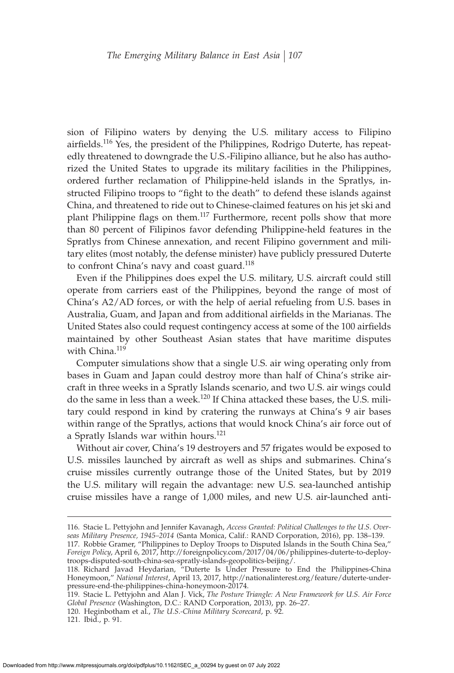sion of Filipino waters by denying the U.S. military access to Filipino airfields.<sup>116</sup> Yes, the president of the Philippines, Rodrigo Duterte, has repeatedly threatened to downgrade the U.S.-Filipino alliance, but he also has authorized the United States to upgrade its military facilities in the Philippines, ordered further reclamation of Philippine-held islands in the Spratlys, instructed Filipino troops to "fight to the death" to defend these islands against China, and threatened to ride out to Chinese-claimed features on his jet ski and plant Philippine flags on them.<sup>117</sup> Furthermore, recent polls show that more than 80 percent of Filipinos favor defending Philippine-held features in the Spratlys from Chinese annexation, and recent Filipino government and military elites (most notably, the defense minister) have publicly pressured Duterte to confront China's navy and coast guard.<sup>118</sup>

Even if the Philippines does expel the U.S. military, U.S. aircraft could still operate from carriers east of the Philippines, beyond the range of most of China's A2/AD forces, or with the help of aerial refueling from U.S. bases in Australia, Guam, and Japan and from additional airfields in the Marianas. The United States also could request contingency access at some of the 100 airfields maintained by other Southeast Asian states that have maritime disputes with China.<sup>119</sup>

Computer simulations show that a single U.S. air wing operating only from bases in Guam and Japan could destroy more than half of China's strike aircraft in three weeks in a Spratly Islands scenario, and two U.S. air wings could do the same in less than a week.120 If China attacked these bases, the U.S. military could respond in kind by cratering the runways at China's 9 air bases within range of the Spratlys, actions that would knock China's air force out of a Spratly Islands war within hours.<sup>121</sup>

Without air cover, China's 19 destroyers and 57 frigates would be exposed to U.S. missiles launched by aircraft as well as ships and submarines. China's cruise missiles currently outrange those of the United States, but by 2019 the U.S. military will regain the advantage: new U.S. sea-launched antiship cruise missiles have a range of 1,000 miles, and new U.S. air-launched anti-

119. Stacie L. Pettyjohn and Alan J. Vick, *The Posture Triangle: A New Framework for U.S. Air Force Global Presence* (Washington, D.C.: RAND Corporation, 2013), pp. 26–27.

120. Heginbotham et al., *The U.S.-China Military Scorecard*, p. 92. 121. Ibid., p. 91.

<sup>116.</sup> Stacie L. Pettyjohn and Jennifer Kavanagh, *Access Granted: Political Challenges to the U.S. Overseas Military Presence, 1945–2014* (Santa Monica, Calif.: RAND Corporation, 2016), pp. 138–139.

<sup>117.</sup> Robbie Gramer, "Philippines to Deploy Troops to Disputed Islands in the South China Sea," *Foreign Policy*, April 6, 2017, http://foreignpolicy.com/2017/04/06/philippines-duterte-to-deploytroops-disputed-south-china-sea-spratly-islands-geopolitics-beijing/.

<sup>118.</sup> Richard Javad Heydarian, "Duterte Is Under Pressure to End the Philippines-China Honeymoon," *National Interest*, April 13, 2017, http://nationalinterest.org/feature/duterte-underpressure-end-the-philippines-china-honeymoon-20174.

Downloaded from http://www.mitpressjournals.org/doi/pdfplus/10.1162/ISEC\_a\_00294 by guest on 07 July 2022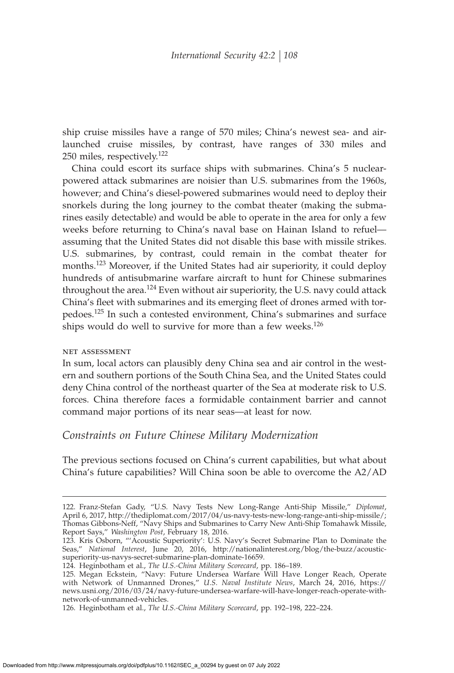ship cruise missiles have a range of 570 miles; China's newest sea- and airlaunched cruise missiles, by contrast, have ranges of 330 miles and 250 miles, respectively.<sup>122</sup>

China could escort its surface ships with submarines. China's 5 nuclearpowered attack submarines are noisier than U.S. submarines from the 1960s, however; and China's diesel-powered submarines would need to deploy their snorkels during the long journey to the combat theater (making the submarines easily detectable) and would be able to operate in the area for only a few weeks before returning to China's naval base on Hainan Island to refuel assuming that the United States did not disable this base with missile strikes. U.S. submarines, by contrast, could remain in the combat theater for months.<sup>123</sup> Moreover, if the United States had air superiority, it could deploy hundreds of antisubmarine warfare aircraft to hunt for Chinese submarines throughout the area.<sup>124</sup> Even without air superiority, the U.S. navy could attack China's fleet with submarines and its emerging fleet of drones armed with torpedoes.<sup>125</sup> In such a contested environment, China's submarines and surface ships would do well to survive for more than a few weeks.<sup>126</sup>

#### net assessment

In sum, local actors can plausibly deny China sea and air control in the western and southern portions of the South China Sea, and the United States could deny China control of the northeast quarter of the Sea at moderate risk to U.S. forces. China therefore faces a formidable containment barrier and cannot command major portions of its near seas—at least for now.

# *Constraints on Future Chinese Military Modernization*

The previous sections focused on China's current capabilities, but what about China's future capabilities? Will China soon be able to overcome the A2/AD

<sup>122.</sup> Franz-Stefan Gady, "U.S. Navy Tests New Long-Range Anti-Ship Missile," *Diplomat*, April 6, 2017, http://thediplomat.com/2017/04/us-navy-tests-new-long-range-anti-ship-missile/; Thomas Gibbons-Neff, "Navy Ships and Submarines to Carry New Anti-Ship Tomahawk Missile, Report Says," *Washington Post*, February 18, 2016.

<sup>123.</sup> Kris Osborn, "'Acoustic Superiority': U.S. Navy's Secret Submarine Plan to Dominate the Seas," *National Interest*, June 20, 2016, http://nationalinterest.org/blog/the-buzz/acousticsuperiority-us-navys-secret-submarine-plan-dominate-16659.

<sup>124.</sup> Heginbotham et al., *The U.S.-China Military Scorecard*, pp. 186–189.

<sup>125.</sup> Megan Eckstein, "Navy: Future Undersea Warfare Will Have Longer Reach, Operate with Network of Unmanned Drones," *U.S. Naval Institute News*, March 24, 2016, https:// news.usni.org/2016/03/24/navy-future-undersea-warfare-will-have-longer-reach-operate-withnetwork-of-unmanned-vehicles.

<sup>126.</sup> Heginbotham et al., *The U.S.-China Military Scorecard*, pp. 192–198, 222–224.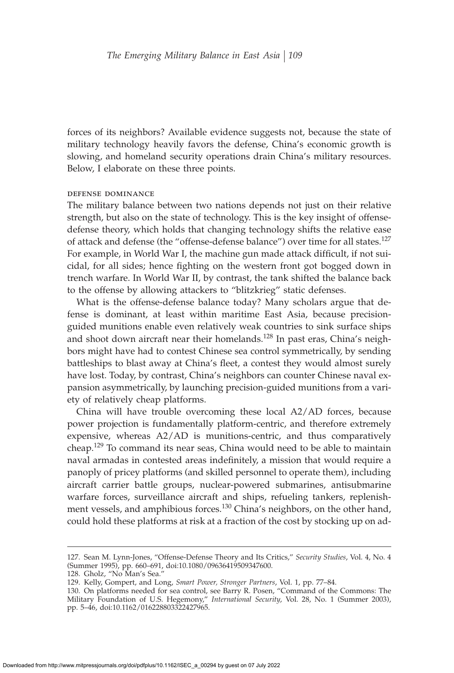forces of its neighbors? Available evidence suggests not, because the state of military technology heavily favors the defense, China's economic growth is slowing, and homeland security operations drain China's military resources. Below, I elaborate on these three points.

#### defense dominance

The military balance between two nations depends not just on their relative strength, but also on the state of technology. This is the key insight of offensedefense theory, which holds that changing technology shifts the relative ease of attack and defense (the "offense-defense balance") over time for all states.<sup>127</sup> For example, in World War I, the machine gun made attack difficult, if not suicidal, for all sides; hence fighting on the western front got bogged down in trench warfare. In World War II, by contrast, the tank shifted the balance back to the offense by allowing attackers to "blitzkrieg" static defenses.

What is the offense-defense balance today? Many scholars argue that defense is dominant, at least within maritime East Asia, because precisionguided munitions enable even relatively weak countries to sink surface ships and shoot down aircraft near their homelands.<sup>128</sup> In past eras, China's neighbors might have had to contest Chinese sea control symmetrically, by sending battleships to blast away at China's fleet, a contest they would almost surely have lost. Today, by contrast, China's neighbors can counter Chinese naval expansion asymmetrically, by launching precision-guided munitions from a variety of relatively cheap platforms.

China will have trouble overcoming these local A2/AD forces, because power projection is fundamentally platform-centric, and therefore extremely expensive, whereas A2/AD is munitions-centric, and thus comparatively cheap.129 To command its near seas, China would need to be able to maintain naval armadas in contested areas indefinitely, a mission that would require a panoply of pricey platforms (and skilled personnel to operate them), including aircraft carrier battle groups, nuclear-powered submarines, antisubmarine warfare forces, surveillance aircraft and ships, refueling tankers, replenishment vessels, and amphibious forces.<sup>130</sup> China's neighbors, on the other hand, could hold these platforms at risk at a fraction of the cost by stocking up on ad-

<sup>127.</sup> Sean M. Lynn-Jones, "Offense-Defense Theory and Its Critics," *Security Studies*, Vol. 4, No. 4 (Summer 1995), pp. 660–691, doi:10.1080/09636419509347600.

<sup>128.</sup> Gholz, "No Man's Sea."

<sup>129.</sup> Kelly, Gompert, and Long, *Smart Power, Stronger Partners*, Vol. 1, pp. 77–84.

<sup>130.</sup> On platforms needed for sea control, see Barry R. Posen, "Command of the Commons: The Military Foundation of U.S. Hegemony," *International Security*, Vol. 28, No. 1 (Summer 2003), pp. 5–46, doi:10.1162/016228803322427965.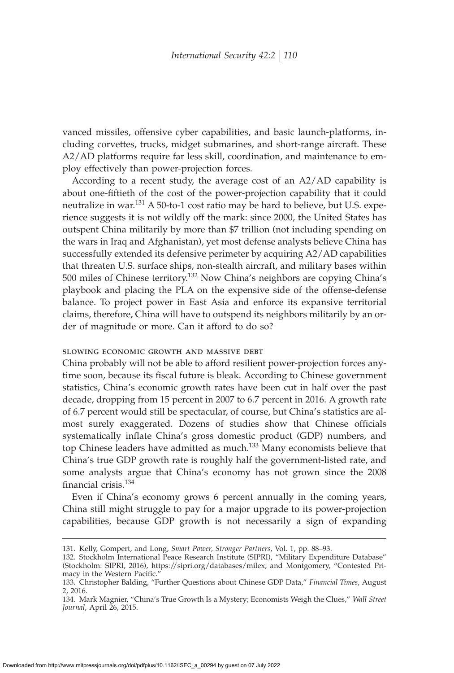vanced missiles, offensive cyber capabilities, and basic launch-platforms, including corvettes, trucks, midget submarines, and short-range aircraft. These A2/AD platforms require far less skill, coordination, and maintenance to employ effectively than power-projection forces.

According to a recent study, the average cost of an A2/AD capability is about one-fiftieth of the cost of the power-projection capability that it could neutralize in war.<sup>131</sup> A 50-to-1 cost ratio may be hard to believe, but U.S. experience suggests it is not wildly off the mark: since 2000, the United States has outspent China militarily by more than \$7 trillion (not including spending on the wars in Iraq and Afghanistan), yet most defense analysts believe China has successfully extended its defensive perimeter by acquiring A2/AD capabilities that threaten U.S. surface ships, non-stealth aircraft, and military bases within 500 miles of Chinese territory.<sup>132</sup> Now China's neighbors are copying China's playbook and placing the PLA on the expensive side of the offense-defense balance. To project power in East Asia and enforce its expansive territorial claims, therefore, China will have to outspend its neighbors militarily by an order of magnitude or more. Can it afford to do so?

## slowing economic growth and massive debt

China probably will not be able to afford resilient power-projection forces anytime soon, because its fiscal future is bleak. According to Chinese government statistics, China's economic growth rates have been cut in half over the past decade, dropping from 15 percent in 2007 to 6.7 percent in 2016. A growth rate of 6.7 percent would still be spectacular, of course, but China's statistics are almost surely exaggerated. Dozens of studies show that Chinese officials systematically inflate China's gross domestic product (GDP) numbers, and top Chinese leaders have admitted as much.<sup>133</sup> Many economists believe that China's true GDP growth rate is roughly half the government-listed rate, and some analysts argue that China's economy has not grown since the 2008 financial crisis. $134$ 

Even if China's economy grows 6 percent annually in the coming years, China still might struggle to pay for a major upgrade to its power-projection capabilities, because GDP growth is not necessarily a sign of expanding

<sup>131.</sup> Kelly, Gompert, and Long, *Smart Power, Stronger Partners*, Vol. 1, pp. 88–93.

<sup>132.</sup> Stockholm International Peace Research Institute (SIPRI), "Military Expenditure Database" (Stockholm: SIPRI, 2016), https://sipri.org/databases/milex; and Montgomery, "Contested Primacy in the Western Pacific."

<sup>133.</sup> Christopher Balding, "Further Questions about Chinese GDP Data," *Financial Times*, August 2, 2016.

<sup>134.</sup> Mark Magnier, "China's True Growth Is a Mystery; Economists Weigh the Clues," *Wall Street Journal*, April 26, 2015.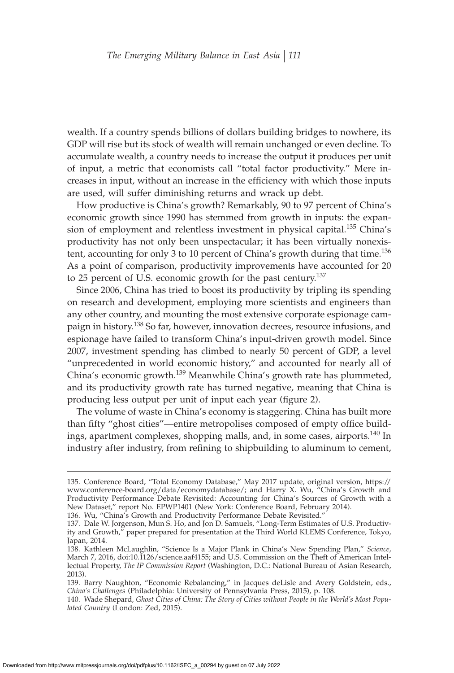wealth. If a country spends billions of dollars building bridges to nowhere, its GDP will rise but its stock of wealth will remain unchanged or even decline. To accumulate wealth, a country needs to increase the output it produces per unit of input, a metric that economists call "total factor productivity." Mere increases in input, without an increase in the efficiency with which those inputs are used, will suffer diminishing returns and wrack up debt.

How productive is China's growth? Remarkably, 90 to 97 percent of China's economic growth since 1990 has stemmed from growth in inputs: the expansion of employment and relentless investment in physical capital.<sup>135</sup> China's productivity has not only been unspectacular; it has been virtually nonexistent, accounting for only 3 to 10 percent of China's growth during that time.<sup>136</sup> As a point of comparison, productivity improvements have accounted for 20 to 25 percent of U.S. economic growth for the past century.<sup>137</sup>

Since 2006, China has tried to boost its productivity by tripling its spending on research and development, employing more scientists and engineers than any other country, and mounting the most extensive corporate espionage campaign in history.<sup>138</sup> So far, however, innovation decrees, resource infusions, and espionage have failed to transform China's input-driven growth model. Since 2007, investment spending has climbed to nearly 50 percent of GDP, a level "unprecedented in world economic history," and accounted for nearly all of China's economic growth.<sup>139</sup> Meanwhile China's growth rate has plummeted, and its productivity growth rate has turned negative, meaning that China is producing less output per unit of input each year (figure 2).

The volume of waste in China's economy is staggering. China has built more than fifty "ghost cities"—entire metropolises composed of empty office buildings, apartment complexes, shopping malls, and, in some cases, airports.<sup>140</sup> In industry after industry, from refining to shipbuilding to aluminum to cement,

136. Wu, "China's Growth and Productivity Performance Debate Revisited."

<sup>135.</sup> Conference Board, "Total Economy Database," May 2017 update, original version, https:// www.conference-board.org/data/economydatabase/; and Harry X. Wu, "China's Growth and Productivity Performance Debate Revisited: Accounting for China's Sources of Growth with a New Dataset," report No. EPWP1401 (New York: Conference Board, February 2014).

<sup>137.</sup> Dale W. Jorgenson, Mun S. Ho, and Jon D. Samuels, "Long-Term Estimates of U.S. Productivity and Growth," paper prepared for presentation at the Third World KLEMS Conference, Tokyo, Japan, 2014.

<sup>138.</sup> Kathleen McLaughlin, "Science Is a Major Plank in China's New Spending Plan," *Science*, March 7, 2016, doi:10.1126/science.aaf4155; and U.S. Commission on the Theft of American Intellectual Property, *The IP Commission Report* (Washington, D.C.: National Bureau of Asian Research, 2013).

<sup>139.</sup> Barry Naughton, "Economic Rebalancing," in Jacques deLisle and Avery Goldstein, eds., *China's Challenges* (Philadelphia: University of Pennsylvania Press, 2015), p. 108.

<sup>140.</sup> Wade Shepard, *Ghost Cities of China: The Story of Cities without People in the World's Most Populated Country* (London: Zed, 2015).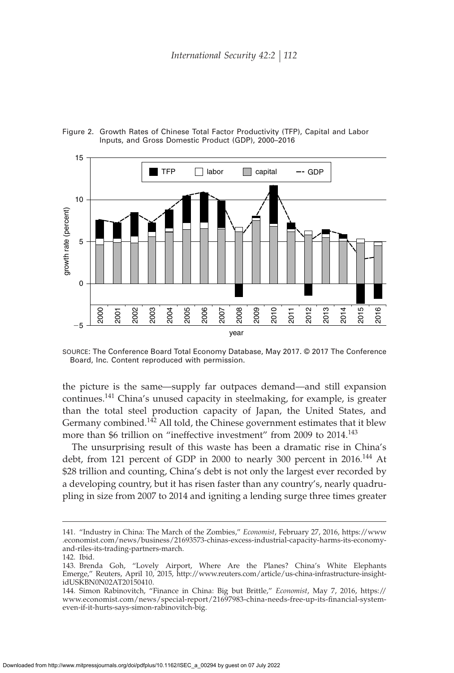

Figure 2. Growth Rates of Chinese Total Factor Productivity (TFP), Capital and Labor Inputs, and Gross Domestic Product (GDP), 2000–2016

SOURCE: The Conference Board Total Economy Database, May 2017. © 2017 The Conference

the picture is the same—supply far outpaces demand—and still expansion continues.<sup>141</sup> China's unused capacity in steelmaking, for example, is greater than the total steel production capacity of Japan, the United States, and Germany combined.<sup>142</sup> All told, the Chinese government estimates that it blew more than \$6 trillion on "ineffective investment" from 2009 to 2014.<sup>143</sup>

The unsurprising result of this waste has been a dramatic rise in China's debt, from 121 percent of GDP in 2000 to nearly 300 percent in 2016.<sup>144</sup> At \$28 trillion and counting, China's debt is not only the largest ever recorded by a developing country, but it has risen faster than any country's, nearly quadrupling in size from 2007 to 2014 and igniting a lending surge three times greater

<sup>141. &</sup>quot;Industry in China: The March of the Zombies," *Economist*, February 27, 2016, https://www .economist.com/news/business/21693573-chinas-excess-industrial-capacity-harms-its-economyand-riles-its-trading-partners-march.

<sup>142.</sup> Ibid.

<sup>143.</sup> Brenda Goh, "Lovely Airport, Where Are the Planes? China's White Elephants Emerge," Reuters, April 10, 2015, http://www.reuters.com/article/us-china-infrastructure-insightidUSKBN0N02AT20150410.

<sup>144.</sup> Simon Rabinovitch, "Finance in China: Big but Brittle," *Economist*, May 7, 2016, https:// www.economist.com/news/special-report/21697983-china-needs-free-up-its-financial-systemeven-if-it-hurts-says-simon-rabinovitch-big.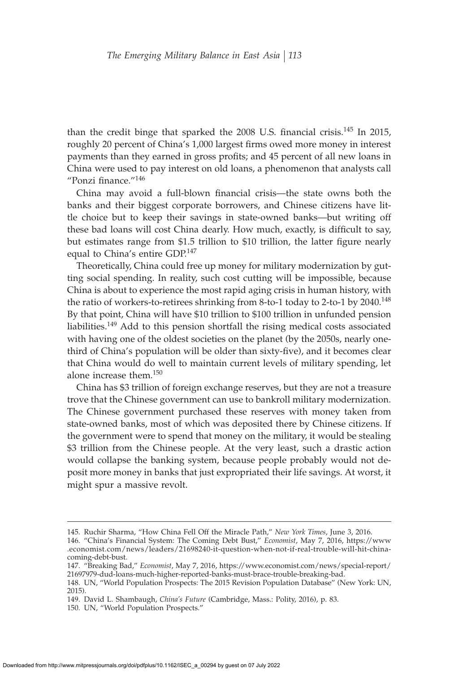than the credit binge that sparked the 2008 U.S. financial crisis.<sup>145</sup> In 2015, roughly 20 percent of China's 1,000 largest firms owed more money in interest payments than they earned in gross profits; and 45 percent of all new loans in China were used to pay interest on old loans, a phenomenon that analysts call "Ponzi finance."<sup>146</sup>

China may avoid a full-blown financial crisis—the state owns both the banks and their biggest corporate borrowers, and Chinese citizens have little choice but to keep their savings in state-owned banks—but writing off these bad loans will cost China dearly. How much, exactly, is difficult to say, but estimates range from \$1.5 trillion to \$10 trillion, the latter figure nearly equal to China's entire GDP.<sup>147</sup>

Theoretically, China could free up money for military modernization by gutting social spending. In reality, such cost cutting will be impossible, because China is about to experience the most rapid aging crisis in human history, with the ratio of workers-to-retirees shrinking from 8-to-1 today to 2-to-1 by  $2040.^{148}$ By that point, China will have \$10 trillion to \$100 trillion in unfunded pension liabilities.<sup>149</sup> Add to this pension shortfall the rising medical costs associated with having one of the oldest societies on the planet (by the 2050s, nearly onethird of China's population will be older than sixty-five), and it becomes clear that China would do well to maintain current levels of military spending, let alone increase them.<sup>150</sup>

China has \$3 trillion of foreign exchange reserves, but they are not a treasure trove that the Chinese government can use to bankroll military modernization. The Chinese government purchased these reserves with money taken from state-owned banks, most of which was deposited there by Chinese citizens. If the government were to spend that money on the military, it would be stealing \$3 trillion from the Chinese people. At the very least, such a drastic action would collapse the banking system, because people probably would not deposit more money in banks that just expropriated their life savings. At worst, it might spur a massive revolt.

<sup>145.</sup> Ruchir Sharma, "How China Fell Off the Miracle Path," *New York Times*, June 3, 2016.

<sup>146. &</sup>quot;China's Financial System: The Coming Debt Bust," *Economist*, May 7, 2016, https://www .economist.com/news/leaders/21698240-it-question-when-not-if-real-trouble-will-hit-chinacoming-debt-bust.

<sup>147. &</sup>quot;Breaking Bad," *Economist*, May 7, 2016, https://www.economist.com/news/special-report/ 21697979-dud-loans-much-higher-reported-banks-must-brace-trouble-breaking-bad.

<sup>148.</sup> UN, "World Population Prospects: The 2015 Revision Population Database" (New York: UN, 2015).

<sup>149.</sup> David L. Shambaugh, *China's Future* (Cambridge, Mass.: Polity, 2016), p. 83.

<sup>150.</sup> UN, "World Population Prospects."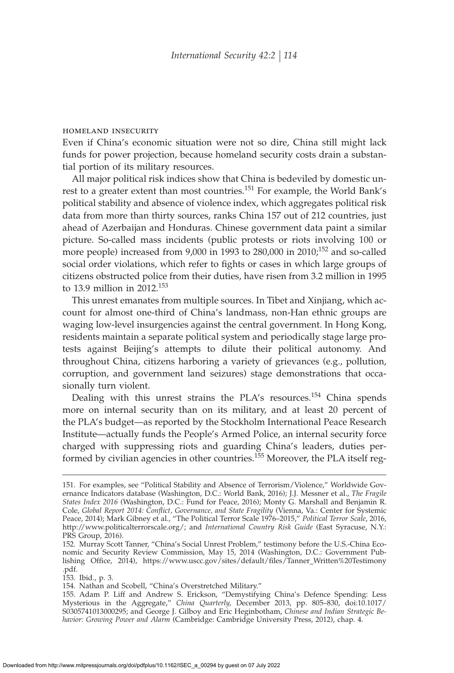#### homeland insecurity

Even if China's economic situation were not so dire, China still might lack funds for power projection, because homeland security costs drain a substantial portion of its military resources.

All major political risk indices show that China is bedeviled by domestic unrest to a greater extent than most countries.<sup>151</sup> For example, the World Bank's political stability and absence of violence index, which aggregates political risk data from more than thirty sources, ranks China 157 out of 212 countries, just ahead of Azerbaijan and Honduras. Chinese government data paint a similar picture. So-called mass incidents (public protests or riots involving 100 or more people) increased from 9,000 in 1993 to  $280,000$  in  $2010$ ;<sup>152</sup> and so-called social order violations, which refer to fights or cases in which large groups of citizens obstructed police from their duties, have risen from 3.2 million in 1995 to 13.9 million in 2012.<sup>153</sup>

This unrest emanates from multiple sources. In Tibet and Xinjiang, which account for almost one-third of China's landmass, non-Han ethnic groups are waging low-level insurgencies against the central government. In Hong Kong, residents maintain a separate political system and periodically stage large protests against Beijing's attempts to dilute their political autonomy. And throughout China, citizens harboring a variety of grievances (e.g., pollution, corruption, and government land seizures) stage demonstrations that occasionally turn violent.

Dealing with this unrest strains the PLA's resources.<sup>154</sup> China spends more on internal security than on its military, and at least 20 percent of the PLA's budget—as reported by the Stockholm International Peace Research Institute—actually funds the People's Armed Police, an internal security force charged with suppressing riots and guarding China's leaders, duties performed by civilian agencies in other countries.<sup>155</sup> Moreover, the PLA itself reg-

154. Nathan and Scobell, "China's Overstretched Military."

<sup>151.</sup> For examples, see "Political Stability and Absence of Terrorism/Violence," Worldwide Governance Indicators database (Washington, D.C.: World Bank, 2016); J.J. Messner et al., *The Fragile States Index 2016* (Washington, D.C.: Fund for Peace, 2016); Monty G. Marshall and Benjamin R. Cole, *Global Report 2014: Conflict, Governance, and State Fragility (Vienna, Va.: Center for Systemic* Peace, 2014); Mark Gibney et al., "The Political Terror Scale 1976–2015," *Political Terror Scale*, 2016, http://www.politicalterrorscale.org/; and *International Country Risk Guide* (East Syracuse, N.Y.: PRS Group, 2016).

<sup>152.</sup> Murray Scott Tanner, "China's Social Unrest Problem," testimony before the U.S.-China Economic and Security Review Commission, May 15, 2014 (Washington, D.C.: Government Publishing Office, 2014), https://www.uscc.gov/sites/default/files/Tanner\_Written%20Testimony .pdf.

<sup>153.</sup> Ibid., p. 3.

<sup>155.</sup> Adam P. Liff and Andrew S. Erickson, "Demystifying China's Defence Spending: Less Mysterious in the Aggregate," *China Quarterly*, December 2013, pp. 805–830, doi:10.1017/ S0305741013000295; and George J. Gilboy and Eric Heginbotham, *Chinese and Indian Strategic Behavior: Growing Power and Alarm* (Cambridge: Cambridge University Press, 2012), chap. 4.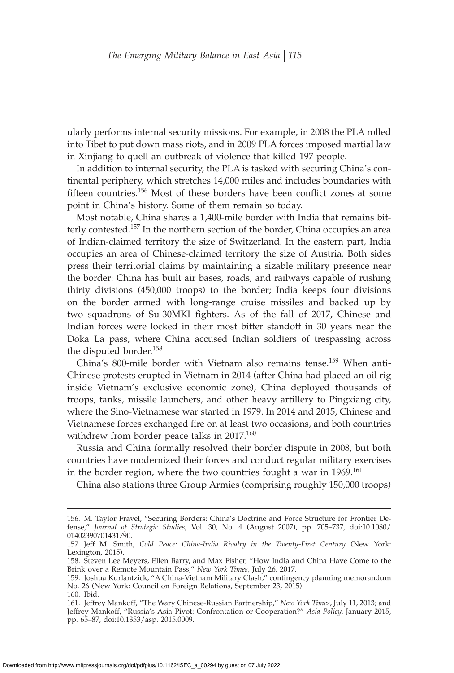ularly performs internal security missions. For example, in 2008 the PLA rolled into Tibet to put down mass riots, and in 2009 PLA forces imposed martial law in Xinjiang to quell an outbreak of violence that killed 197 people.

In addition to internal security, the PLA is tasked with securing China's continental periphery, which stretches 14,000 miles and includes boundaries with fifteen countries.<sup>156</sup> Most of these borders have been conflict zones at some point in China's history. Some of them remain so today.

Most notable, China shares a 1,400-mile border with India that remains bitterly contested.<sup>157</sup> In the northern section of the border, China occupies an area of Indian-claimed territory the size of Switzerland. In the eastern part, India occupies an area of Chinese-claimed territory the size of Austria. Both sides press their territorial claims by maintaining a sizable military presence near the border: China has built air bases, roads, and railways capable of rushing thirty divisions (450,000 troops) to the border; India keeps four divisions on the border armed with long-range cruise missiles and backed up by two squadrons of Su-30MKI fighters. As of the fall of 2017, Chinese and Indian forces were locked in their most bitter standoff in 30 years near the Doka La pass, where China accused Indian soldiers of trespassing across the disputed border.<sup>158</sup>

China's 800-mile border with Vietnam also remains tense.<sup>159</sup> When anti-Chinese protests erupted in Vietnam in 2014 (after China had placed an oil rig inside Vietnam's exclusive economic zone), China deployed thousands of troops, tanks, missile launchers, and other heavy artillery to Pingxiang city, where the Sino-Vietnamese war started in 1979. In 2014 and 2015, Chinese and Vietnamese forces exchanged fire on at least two occasions, and both countries withdrew from border peace talks in  $2017$ .<sup>160</sup>

Russia and China formally resolved their border dispute in 2008, but both countries have modernized their forces and conduct regular military exercises in the border region, where the two countries fought a war in  $1969$ <sup>161</sup>

China also stations three Group Armies (comprising roughly 150,000 troops)

<sup>156.</sup> M. Taylor Fravel, "Securing Borders: China's Doctrine and Force Structure for Frontier Defense," *Journal of Strategic Studies*, Vol. 30, No. 4 (August 2007), pp. 705–737, doi:10.1080/ 01402390701431790.

<sup>157.</sup> Jeff M. Smith, *Cold Peace: China-India Rivalry in the Twenty-First Century* (New York: Lexington, 2015).

<sup>158.</sup> Steven Lee Meyers, Ellen Barry, and Max Fisher, "How India and China Have Come to the Brink over a Remote Mountain Pass," *New York Times*, July 26, 2017.

<sup>159.</sup> Joshua Kurlantzick, "A China-Vietnam Military Clash," contingency planning memorandum No. 26 (New York: Council on Foreign Relations, September 23, 2015).

<sup>160.</sup> Ibid.

<sup>161.</sup> Jeffrey Mankoff, "The Wary Chinese-Russian Partnership," *New York Times*, July 11, 2013; and Jeffrey Mankoff, "Russia's Asia Pivot: Confrontation or Cooperation?" *Asia Policy*, January 2015, pp. 65–87, doi:10.1353/asp. 2015.0009.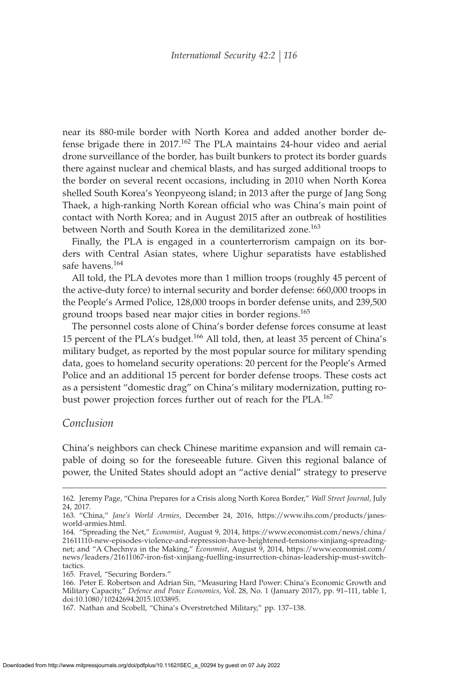near its 880-mile border with North Korea and added another border defense brigade there in 2017.<sup>162</sup> The PLA maintains 24-hour video and aerial drone surveillance of the border, has built bunkers to protect its border guards there against nuclear and chemical blasts, and has surged additional troops to the border on several recent occasions, including in 2010 when North Korea shelled South Korea's Yeonpyeong island; in 2013 after the purge of Jang Song Thaek, a high-ranking North Korean official who was China's main point of contact with North Korea; and in August 2015 after an outbreak of hostilities between North and South Korea in the demilitarized zone.<sup>163</sup>

Finally, the PLA is engaged in a counterterrorism campaign on its borders with Central Asian states, where Uighur separatists have established safe havens.<sup>164</sup>

All told, the PLA devotes more than 1 million troops (roughly 45 percent of the active-duty force) to internal security and border defense: 660,000 troops in the People's Armed Police, 128,000 troops in border defense units, and 239,500 ground troops based near major cities in border regions.<sup>165</sup>

The personnel costs alone of China's border defense forces consume at least 15 percent of the PLA's budget.<sup>166</sup> All told, then, at least 35 percent of China's military budget, as reported by the most popular source for military spending data, goes to homeland security operations: 20 percent for the People's Armed Police and an additional 15 percent for border defense troops. These costs act as a persistent "domestic drag" on China's military modernization, putting robust power projection forces further out of reach for the PLA.<sup>167</sup>

# *Conclusion*

China's neighbors can check Chinese maritime expansion and will remain capable of doing so for the foreseeable future. Given this regional balance of power, the United States should adopt an "active denial" strategy to preserve

<sup>162.</sup> Jeremy Page, "China Prepares for a Crisis along North Korea Border," *Wall Street Journal*, July 24, 2017.

<sup>163. &</sup>quot;China," *Jane's World Armies*, December 24, 2016, https://www.ihs.com/products/janesworld-armies.html.

<sup>164. &</sup>quot;Spreading the Net," *Economist*, August 9, 2014, https://www.economist.com/news/china/ 21611110-new-episodes-violence-and-repression-have-heightened-tensions-xinjiang-spreadingnet; and "A Chechnya in the Making," *Economist*, August 9, 2014, https://www.economist.com/ news/leaders/21611067-iron-fist-xinjiang-fuelling-insurrection-chinas-leadership-must-switchtactics.

<sup>165.</sup> Fravel, "Securing Borders."

<sup>166.</sup> Peter E. Robertson and Adrian Sin, "Measuring Hard Power: China's Economic Growth and Military Capacity," *Defence and Peace Economics*, Vol. 28, No. 1 (January 2017), pp. 91–111, table 1, doi:10.1080/10242694.2015.1033895.

<sup>167.</sup> Nathan and Scobell, "China's Overstretched Military," pp. 137–138.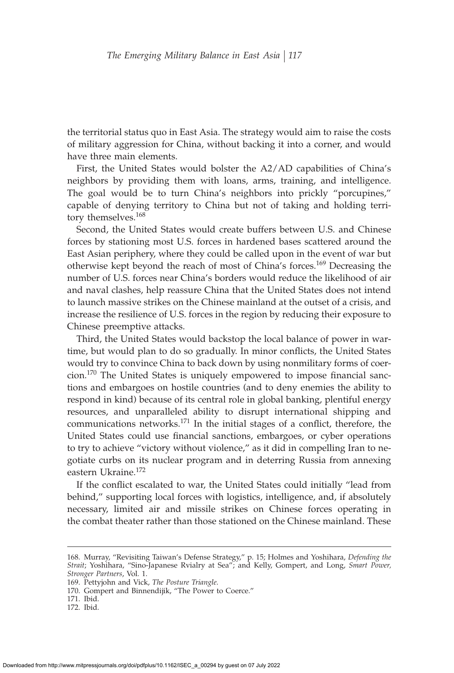the territorial status quo in East Asia. The strategy would aim to raise the costs of military aggression for China, without backing it into a corner, and would have three main elements.

First, the United States would bolster the A2/AD capabilities of China's neighbors by providing them with loans, arms, training, and intelligence. The goal would be to turn China's neighbors into prickly "porcupines," capable of denying territory to China but not of taking and holding territory themselves.<sup>168</sup>

Second, the United States would create buffers between U.S. and Chinese forces by stationing most U.S. forces in hardened bases scattered around the East Asian periphery, where they could be called upon in the event of war but otherwise kept beyond the reach of most of China's forces.<sup>169</sup> Decreasing the number of U.S. forces near China's borders would reduce the likelihood of air and naval clashes, help reassure China that the United States does not intend to launch massive strikes on the Chinese mainland at the outset of a crisis, and increase the resilience of U.S. forces in the region by reducing their exposure to Chinese preemptive attacks.

Third, the United States would backstop the local balance of power in wartime, but would plan to do so gradually. In minor conflicts, the United States would try to convince China to back down by using nonmilitary forms of coercion.<sup>170</sup> The United States is uniquely empowered to impose financial sanctions and embargoes on hostile countries (and to deny enemies the ability to respond in kind) because of its central role in global banking, plentiful energy resources, and unparalleled ability to disrupt international shipping and communications networks.<sup>171</sup> In the initial stages of a conflict, therefore, the United States could use financial sanctions, embargoes, or cyber operations to try to achieve "victory without violence," as it did in compelling Iran to negotiate curbs on its nuclear program and in deterring Russia from annexing eastern Ukraine.<sup>172</sup>

If the conflict escalated to war, the United States could initially "lead from behind," supporting local forces with logistics, intelligence, and, if absolutely necessary, limited air and missile strikes on Chinese forces operating in the combat theater rather than those stationed on the Chinese mainland. These

<sup>168.</sup> Murray, "Revisiting Taiwan's Defense Strategy," p. 15; Holmes and Yoshihara, *Defending the Strait*; Yoshihara, "Sino-Japanese Rvialry at Sea"; and Kelly, Gompert, and Long, *Smart Power, Stronger Partners*, Vol. 1.

<sup>169.</sup> Pettyjohn and Vick, *The Posture Triangle*.

<sup>170.</sup> Gompert and Binnendijik, "The Power to Coerce."

<sup>171.</sup> Ibid.

<sup>172.</sup> Ibid.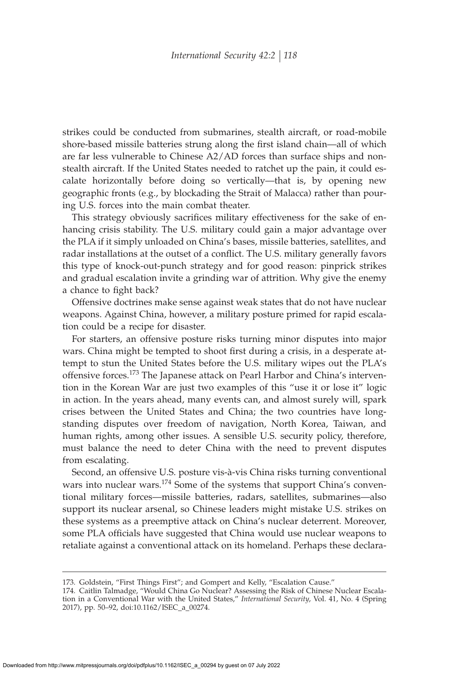strikes could be conducted from submarines, stealth aircraft, or road-mobile shore-based missile batteries strung along the first island chain—all of which are far less vulnerable to Chinese A2/AD forces than surface ships and nonstealth aircraft. If the United States needed to ratchet up the pain, it could escalate horizontally before doing so vertically—that is, by opening new geographic fronts (e.g., by blockading the Strait of Malacca) rather than pouring U.S. forces into the main combat theater.

This strategy obviously sacrifices military effectiveness for the sake of enhancing crisis stability. The U.S. military could gain a major advantage over the PLA if it simply unloaded on China's bases, missile batteries, satellites, and radar installations at the outset of a conflict. The U.S. military generally favors this type of knock-out-punch strategy and for good reason: pinprick strikes and gradual escalation invite a grinding war of attrition. Why give the enemy a chance to fight back?

Offensive doctrines make sense against weak states that do not have nuclear weapons. Against China, however, a military posture primed for rapid escalation could be a recipe for disaster.

For starters, an offensive posture risks turning minor disputes into major wars. China might be tempted to shoot first during a crisis, in a desperate attempt to stun the United States before the U.S. military wipes out the PLA's offensive forces.<sup>173</sup> The Japanese attack on Pearl Harbor and China's intervention in the Korean War are just two examples of this "use it or lose it" logic in action. In the years ahead, many events can, and almost surely will, spark crises between the United States and China; the two countries have longstanding disputes over freedom of navigation, North Korea, Taiwan, and human rights, among other issues. A sensible U.S. security policy, therefore, must balance the need to deter China with the need to prevent disputes from escalating.

Second, an offensive U.S. posture vis-à-vis China risks turning conventional wars into nuclear wars.<sup>174</sup> Some of the systems that support China's conventional military forces—missile batteries, radars, satellites, submarines—also support its nuclear arsenal, so Chinese leaders might mistake U.S. strikes on these systems as a preemptive attack on China's nuclear deterrent. Moreover, some PLA officials have suggested that China would use nuclear weapons to retaliate against a conventional attack on its homeland. Perhaps these declara-

<sup>173.</sup> Goldstein, "First Things First"; and Gompert and Kelly, "Escalation Cause."

<sup>174.</sup> Caitlin Talmadge, "Would China Go Nuclear? Assessing the Risk of Chinese Nuclear Escalation in a Conventional War with the United States," *International Security*, Vol. 41, No. 4 (Spring 2017), pp. 50–92, doi:10.1162/ISEC\_a\_00274.